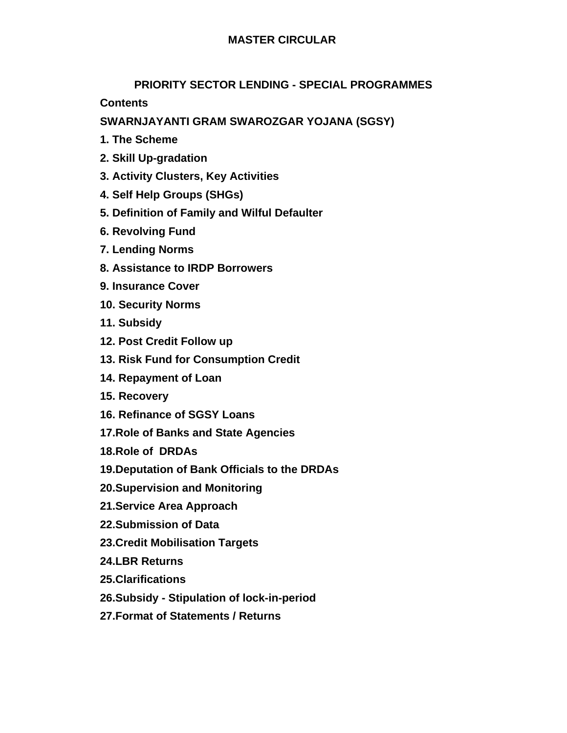# **MASTER CIRCULAR**

# **PRIORITY SECTOR LENDING - SPECIAL PROGRAMMES**

**Contents** 

**SWARNJAYANTI GRAM SWAROZGAR YOJANA (SGSY)** 

- **1. The Scheme**
- **2. Skill Up-gradation**
- **3. Activity Clusters, Key Activities**
- **4. Self Help Groups (SHGs)**
- **5. Definition of Family and Wilful Defaulter**
- **6. Revolving Fund**
- **7. Lending Norms**
- **8. Assistance to IRDP Borrowers**
- **9. Insurance Cover**
- **10. Security Norms**
- **11. Subsidy**
- **12. Post Credit Follow up**
- **13. Risk Fund for Consumption Credit**
- **14. Repayment of Loan**
- **15. Recovery**
- **16. Refinance of SGSY Loans**
- **17.Role of Banks and State Agencies**
- **18.Role of DRDAs**
- **19.Deputation of Bank Officials to the DRDAs**
- **20.Supervision and Monitoring**
- **21.Service Area Approach**
- **22.Submission of Data**
- **23.Credit Mobilisation Targets**
- **24.LBR Returns**
- **25.Clarifications**
- **26.Subsidy Stipulation of lock-in-period**
- **27.Format of Statements / Returns**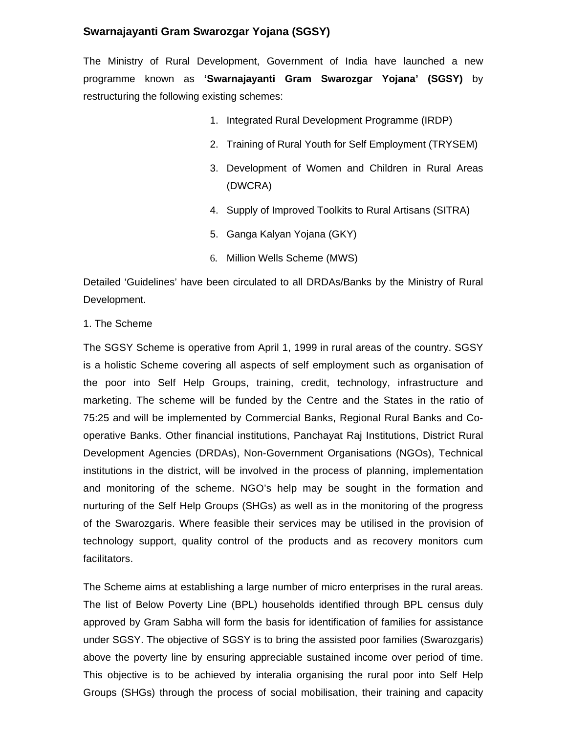# **Swarnajayanti Gram Swarozgar Yojana (SGSY)**

The Ministry of Rural Development, Government of India have launched a new programme known as **'Swarnajayanti Gram Swarozgar Yojana' (SGSY)** by restructuring the following existing schemes:

- 1. Integrated Rural Development Programme (IRDP)
- 2. Training of Rural Youth for Self Employment (TRYSEM)
- 3. Development of Women and Children in Rural Areas (DWCRA)
- 4. Supply of Improved Toolkits to Rural Artisans (SITRA)
- 5. Ganga Kalyan Yojana (GKY)
- 6. Million Wells Scheme (MWS)

Detailed 'Guidelines' have been circulated to all DRDAs/Banks by the Ministry of Rural Development.

## 1. The Scheme

The SGSY Scheme is operative from April 1, 1999 in rural areas of the country. SGSY is a holistic Scheme covering all aspects of self employment such as organisation of the poor into Self Help Groups, training, credit, technology, infrastructure and marketing. The scheme will be funded by the Centre and the States in the ratio of 75:25 and will be implemented by Commercial Banks, Regional Rural Banks and Cooperative Banks. Other financial institutions, Panchayat Raj Institutions, District Rural Development Agencies (DRDAs), Non-Government Organisations (NGOs), Technical institutions in the district, will be involved in the process of planning, implementation and monitoring of the scheme. NGO's help may be sought in the formation and nurturing of the Self Help Groups (SHGs) as well as in the monitoring of the progress of the Swarozgaris. Where feasible their services may be utilised in the provision of technology support, quality control of the products and as recovery monitors cum facilitators.

The Scheme aims at establishing a large number of micro enterprises in the rural areas. The list of Below Poverty Line (BPL) households identified through BPL census duly approved by Gram Sabha will form the basis for identification of families for assistance under SGSY. The objective of SGSY is to bring the assisted poor families (Swarozgaris) above the poverty line by ensuring appreciable sustained income over period of time. This objective is to be achieved by interalia organising the rural poor into Self Help Groups (SHGs) through the process of social mobilisation, their training and capacity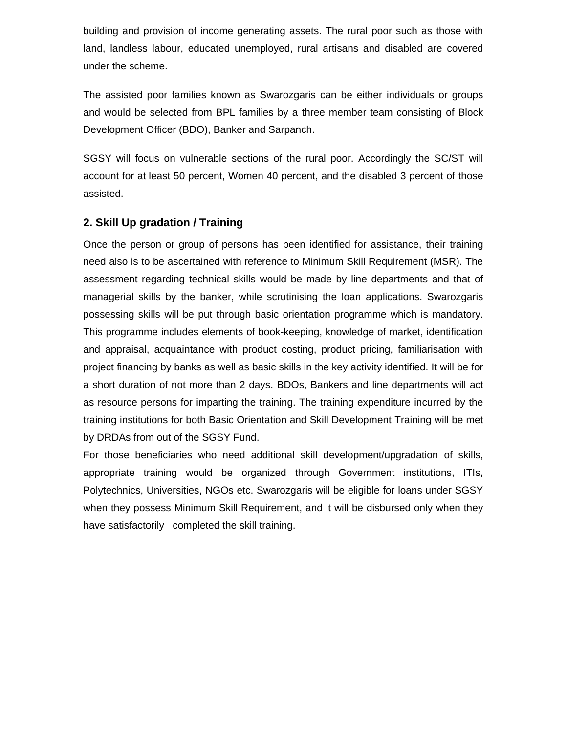building and provision of income generating assets. The rural poor such as those with land, landless labour, educated unemployed, rural artisans and disabled are covered under the scheme.

The assisted poor families known as Swarozgaris can be either individuals or groups and would be selected from BPL families by a three member team consisting of Block Development Officer (BDO), Banker and Sarpanch.

SGSY will focus on vulnerable sections of the rural poor. Accordingly the SC/ST will account for at least 50 percent, Women 40 percent, and the disabled 3 percent of those assisted.

# **2. Skill Up gradation / Training**

Once the person or group of persons has been identified for assistance, their training need also is to be ascertained with reference to Minimum Skill Requirement (MSR). The assessment regarding technical skills would be made by line departments and that of managerial skills by the banker, while scrutinising the loan applications. Swarozgaris possessing skills will be put through basic orientation programme which is mandatory. This programme includes elements of book-keeping, knowledge of market, identification and appraisal, acquaintance with product costing, product pricing, familiarisation with project financing by banks as well as basic skills in the key activity identified. It will be for a short duration of not more than 2 days. BDOs, Bankers and line departments will act as resource persons for imparting the training. The training expenditure incurred by the training institutions for both Basic Orientation and Skill Development Training will be met by DRDAs from out of the SGSY Fund.

For those beneficiaries who need additional skill development/upgradation of skills, appropriate training would be organized through Government institutions, ITIs, Polytechnics, Universities, NGOs etc. Swarozgaris will be eligible for loans under SGSY when they possess Minimum Skill Requirement, and it will be disbursed only when they have satisfactorily completed the skill training.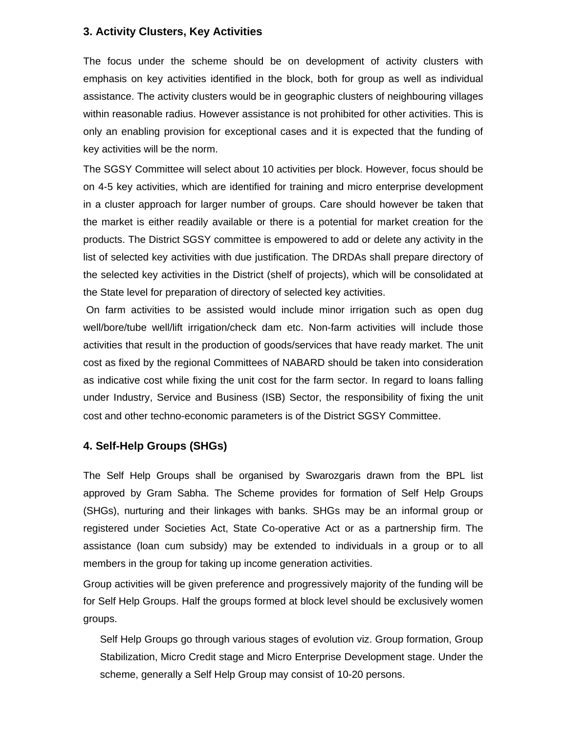## **3. Activity Clusters, Key Activities**

The focus under the scheme should be on development of activity clusters with emphasis on key activities identified in the block, both for group as well as individual assistance. The activity clusters would be in geographic clusters of neighbouring villages within reasonable radius. However assistance is not prohibited for other activities. This is only an enabling provision for exceptional cases and it is expected that the funding of key activities will be the norm.

The SGSY Committee will select about 10 activities per block. However, focus should be on 4-5 key activities, which are identified for training and micro enterprise development in a cluster approach for larger number of groups. Care should however be taken that the market is either readily available or there is a potential for market creation for the products. The District SGSY committee is empowered to add or delete any activity in the list of selected key activities with due justification. The DRDAs shall prepare directory of the selected key activities in the District (shelf of projects), which will be consolidated at the State level for preparation of directory of selected key activities.

 On farm activities to be assisted would include minor irrigation such as open dug well/bore/tube well/lift irrigation/check dam etc. Non-farm activities will include those activities that result in the production of goods/services that have ready market. The unit cost as fixed by the regional Committees of NABARD should be taken into consideration as indicative cost while fixing the unit cost for the farm sector. In regard to loans falling under Industry, Service and Business (ISB) Sector, the responsibility of fixing the unit cost and other techno-economic parameters is of the District SGSY Committee.

# **4. Self-Help Groups (SHGs)**

The Self Help Groups shall be organised by Swarozgaris drawn from the BPL list approved by Gram Sabha. The Scheme provides for formation of Self Help Groups (SHGs), nurturing and their linkages with banks. SHGs may be an informal group or registered under Societies Act, State Co-operative Act or as a partnership firm. The assistance (loan cum subsidy) may be extended to individuals in a group or to all members in the group for taking up income generation activities.

Group activities will be given preference and progressively majority of the funding will be for Self Help Groups. Half the groups formed at block level should be exclusively women groups.

Self Help Groups go through various stages of evolution viz. Group formation, Group Stabilization, Micro Credit stage and Micro Enterprise Development stage. Under the scheme, generally a Self Help Group may consist of 10-20 persons.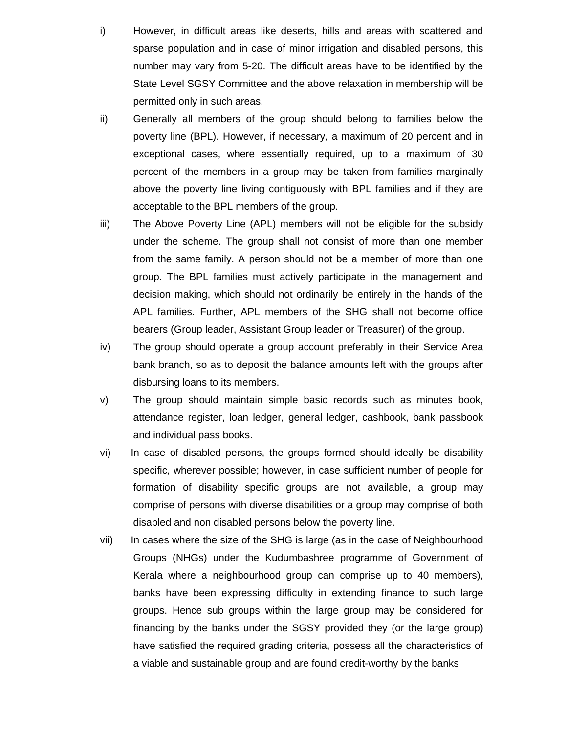- i) However, in difficult areas like deserts, hills and areas with scattered and sparse population and in case of minor irrigation and disabled persons, this number may vary from 5-20. The difficult areas have to be identified by the State Level SGSY Committee and the above relaxation in membership will be permitted only in such areas.
- ii) Generally all members of the group should belong to families below the poverty line (BPL). However, if necessary, a maximum of 20 percent and in exceptional cases, where essentially required, up to a maximum of 30 percent of the members in a group may be taken from families marginally above the poverty line living contiguously with BPL families and if they are acceptable to the BPL members of the group.
- iii) The Above Poverty Line (APL) members will not be eligible for the subsidy under the scheme. The group shall not consist of more than one member from the same family. A person should not be a member of more than one group. The BPL families must actively participate in the management and decision making, which should not ordinarily be entirely in the hands of the APL families. Further, APL members of the SHG shall not become office bearers (Group leader, Assistant Group leader or Treasurer) of the group.
- iv) The group should operate a group account preferably in their Service Area bank branch, so as to deposit the balance amounts left with the groups after disbursing loans to its members.
- v) The group should maintain simple basic records such as minutes book, attendance register, loan ledger, general ledger, cashbook, bank passbook and individual pass books.
- vi) In case of disabled persons, the groups formed should ideally be disability specific, wherever possible; however, in case sufficient number of people for formation of disability specific groups are not available, a group may comprise of persons with diverse disabilities or a group may comprise of both disabled and non disabled persons below the poverty line.
- vii) In cases where the size of the SHG is large (as in the case of Neighbourhood Groups (NHGs) under the Kudumbashree programme of Government of Kerala where a neighbourhood group can comprise up to 40 members), banks have been expressing difficulty in extending finance to such large groups. Hence sub groups within the large group may be considered for financing by the banks under the SGSY provided they (or the large group) have satisfied the required grading criteria, possess all the characteristics of a viable and sustainable group and are found credit-worthy by the banks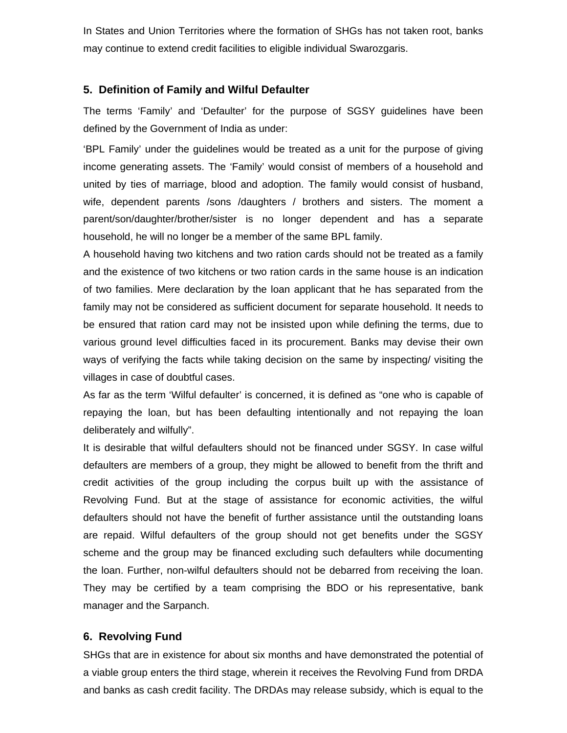In States and Union Territories where the formation of SHGs has not taken root, banks may continue to extend credit facilities to eligible individual Swarozgaris.

## **5. Definition of Family and Wilful Defaulter**

The terms 'Family' and 'Defaulter' for the purpose of SGSY guidelines have been defined by the Government of India as under:

'BPL Family' under the guidelines would be treated as a unit for the purpose of giving income generating assets. The 'Family' would consist of members of a household and united by ties of marriage, blood and adoption. The family would consist of husband, wife, dependent parents /sons /daughters / brothers and sisters. The moment a parent/son/daughter/brother/sister is no longer dependent and has a separate household, he will no longer be a member of the same BPL family.

A household having two kitchens and two ration cards should not be treated as a family and the existence of two kitchens or two ration cards in the same house is an indication of two families. Mere declaration by the loan applicant that he has separated from the family may not be considered as sufficient document for separate household. It needs to be ensured that ration card may not be insisted upon while defining the terms, due to various ground level difficulties faced in its procurement. Banks may devise their own ways of verifying the facts while taking decision on the same by inspecting/ visiting the villages in case of doubtful cases.

As far as the term 'Wilful defaulter' is concerned, it is defined as "one who is capable of repaying the loan, but has been defaulting intentionally and not repaying the loan deliberately and wilfully".

It is desirable that wilful defaulters should not be financed under SGSY. In case wilful defaulters are members of a group, they might be allowed to benefit from the thrift and credit activities of the group including the corpus built up with the assistance of Revolving Fund. But at the stage of assistance for economic activities, the wilful defaulters should not have the benefit of further assistance until the outstanding loans are repaid. Wilful defaulters of the group should not get benefits under the SGSY scheme and the group may be financed excluding such defaulters while documenting the loan. Further, non-wilful defaulters should not be debarred from receiving the loan. They may be certified by a team comprising the BDO or his representative, bank manager and the Sarpanch.

## **6. Revolving Fund**

SHGs that are in existence for about six months and have demonstrated the potential of a viable group enters the third stage, wherein it receives the Revolving Fund from DRDA and banks as cash credit facility. The DRDAs may release subsidy, which is equal to the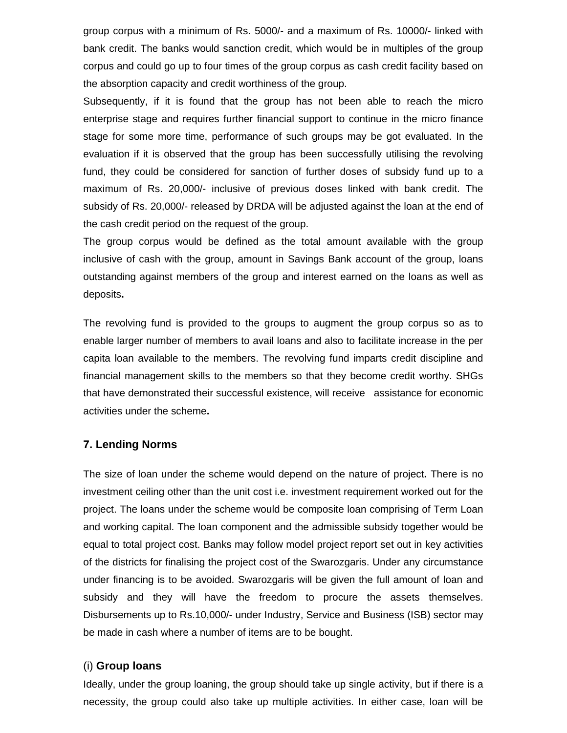group corpus with a minimum of Rs. 5000/- and a maximum of Rs. 10000/- linked with bank credit. The banks would sanction credit, which would be in multiples of the group corpus and could go up to four times of the group corpus as cash credit facility based on the absorption capacity and credit worthiness of the group.

Subsequently, if it is found that the group has not been able to reach the micro enterprise stage and requires further financial support to continue in the micro finance stage for some more time, performance of such groups may be got evaluated. In the evaluation if it is observed that the group has been successfully utilising the revolving fund, they could be considered for sanction of further doses of subsidy fund up to a maximum of Rs. 20,000/- inclusive of previous doses linked with bank credit. The subsidy of Rs. 20,000/- released by DRDA will be adjusted against the loan at the end of the cash credit period on the request of the group.

The group corpus would be defined as the total amount available with the group inclusive of cash with the group, amount in Savings Bank account of the group, loans outstanding against members of the group and interest earned on the loans as well as deposits**.** 

The revolving fund is provided to the groups to augment the group corpus so as to enable larger number of members to avail loans and also to facilitate increase in the per capita loan available to the members. The revolving fund imparts credit discipline and financial management skills to the members so that they become credit worthy. SHGs that have demonstrated their successful existence, will receive assistance for economic activities under the scheme**.** 

## **7. Lending Norms**

The size of loan under the scheme would depend on the nature of project**.** There is no investment ceiling other than the unit cost i.e. investment requirement worked out for the project. The loans under the scheme would be composite loan comprising of Term Loan and working capital. The loan component and the admissible subsidy together would be equal to total project cost. Banks may follow model project report set out in key activities of the districts for finalising the project cost of the Swarozgaris. Under any circumstance under financing is to be avoided. Swarozgaris will be given the full amount of loan and subsidy and they will have the freedom to procure the assets themselves. Disbursements up to Rs.10,000/- under Industry, Service and Business (ISB) sector may be made in cash where a number of items are to be bought.

## (i) **Group loans**

Ideally, under the group loaning, the group should take up single activity, but if there is a necessity, the group could also take up multiple activities. In either case, loan will be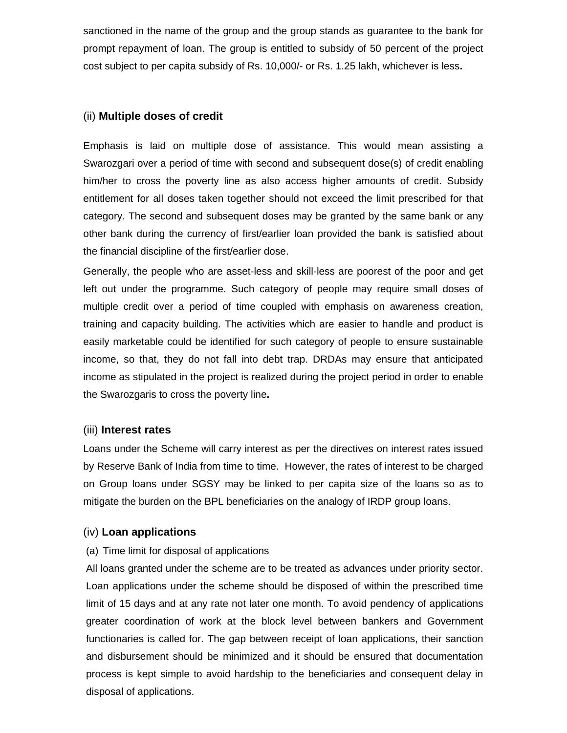sanctioned in the name of the group and the group stands as guarantee to the bank for prompt repayment of loan. The group is entitled to subsidy of 50 percent of the project cost subject to per capita subsidy of Rs. 10,000/- or Rs. 1.25 lakh, whichever is less**.** 

## (ii) **Multiple doses of credit**

Emphasis is laid on multiple dose of assistance. This would mean assisting a Swarozgari over a period of time with second and subsequent dose(s) of credit enabling him/her to cross the poverty line as also access higher amounts of credit. Subsidy entitlement for all doses taken together should not exceed the limit prescribed for that category. The second and subsequent doses may be granted by the same bank or any other bank during the currency of first/earlier loan provided the bank is satisfied about the financial discipline of the first/earlier dose.

Generally, the people who are asset-less and skill-less are poorest of the poor and get left out under the programme. Such category of people may require small doses of multiple credit over a period of time coupled with emphasis on awareness creation, training and capacity building. The activities which are easier to handle and product is easily marketable could be identified for such category of people to ensure sustainable income, so that, they do not fall into debt trap. DRDAs may ensure that anticipated income as stipulated in the project is realized during the project period in order to enable the Swarozgaris to cross the poverty line**.** 

## (iii) **Interest rates**

Loans under the Scheme will carry interest as per the directives on interest rates issued by Reserve Bank of India from time to time. However, the rates of interest to be charged on Group loans under SGSY may be linked to per capita size of the loans so as to mitigate the burden on the BPL beneficiaries on the analogy of IRDP group loans.

## (iv) **Loan applications**

#### (a) Time limit for disposal of applications

All loans granted under the scheme are to be treated as advances under priority sector. Loan applications under the scheme should be disposed of within the prescribed time limit of 15 days and at any rate not later one month. To avoid pendency of applications greater coordination of work at the block level between bankers and Government functionaries is called for. The gap between receipt of loan applications, their sanction and disbursement should be minimized and it should be ensured that documentation process is kept simple to avoid hardship to the beneficiaries and consequent delay in disposal of applications.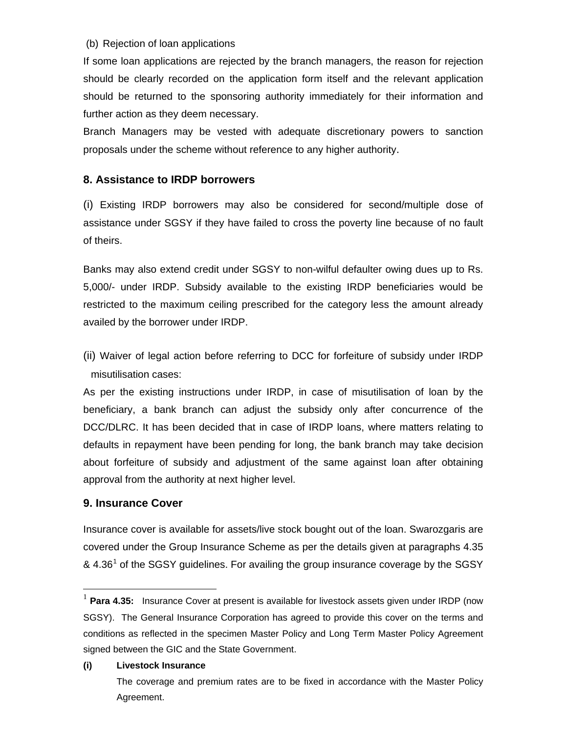#### (b) Rejection of loan applications

If some loan applications are rejected by the branch managers, the reason for rejection should be clearly recorded on the application form itself and the relevant application should be returned to the sponsoring authority immediately for their information and further action as they deem necessary.

Branch Managers may be vested with adequate discretionary powers to sanction proposals under the scheme without reference to any higher authority.

## **8. Assistance to IRDP borrowers**

(i) Existing IRDP borrowers may also be considered for second/multiple dose of assistance under SGSY if they have failed to cross the poverty line because of no fault of theirs.

Banks may also extend credit under SGSY to non-wilful defaulter owing dues up to Rs. 5,000/- under IRDP. Subsidy available to the existing IRDP beneficiaries would be restricted to the maximum ceiling prescribed for the category less the amount already availed by the borrower under IRDP.

(ii) Waiver of legal action before referring to DCC for forfeiture of subsidy under IRDP misutilisation cases:

As per the existing instructions under IRDP, in case of misutilisation of loan by the beneficiary, a bank branch can adjust the subsidy only after concurrence of the DCC/DLRC. It has been decided that in case of IRDP loans, where matters relating to defaults in repayment have been pending for long, the bank branch may take decision about forfeiture of subsidy and adjustment of the same against loan after obtaining approval from the authority at next higher level.

## **9. Insurance Cover**

 $\overline{a}$ 

Insurance cover is available for assets/live stock bought out of the loan. Swarozgaris are covered under the Group Insurance Scheme as per the details given at paragraphs 4.35 & 4.36<sup>[1](#page-8-0)</sup> of the SGSY guidelines. For availing the group insurance coverage by the SGSY

#### **(i) Livestock Insurance**

<span id="page-8-0"></span>Para 4.35: Insurance Cover at present is available for livestock assets given under IRDP (now SGSY). The General Insurance Corporation has agreed to provide this cover on the terms and conditions as reflected in the specimen Master Policy and Long Term Master Policy Agreement signed between the GIC and the State Government.

The coverage and premium rates are to be fixed in accordance with the Master Policy Agreement.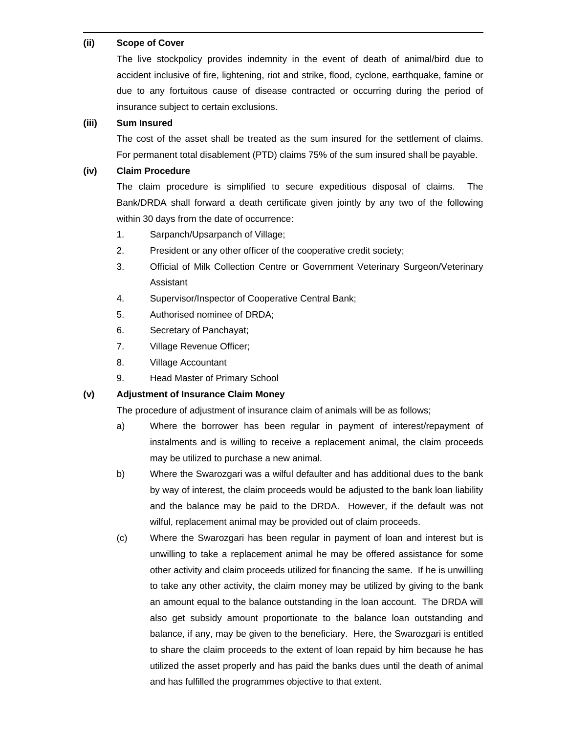#### **(ii) Scope of Cover**

 $\overline{a}$ 

The live stockpolicy provides indemnity in the event of death of animal/bird due to accident inclusive of fire, lightening, riot and strike, flood, cyclone, earthquake, famine or due to any fortuitous cause of disease contracted or occurring during the period of insurance subject to certain exclusions.

#### **(iii) Sum Insured**

The cost of the asset shall be treated as the sum insured for the settlement of claims. For permanent total disablement (PTD) claims 75% of the sum insured shall be payable.

#### **(iv) Claim Procedure**

The claim procedure is simplified to secure expeditious disposal of claims. The Bank/DRDA shall forward a death certificate given jointly by any two of the following within 30 days from the date of occurrence:

- 1. Sarpanch/Upsarpanch of Village;
- 2. President or any other officer of the cooperative credit society;
- 3. Official of Milk Collection Centre or Government Veterinary Surgeon/Veterinary Assistant
- 4. Supervisor/Inspector of Cooperative Central Bank;
- 5. Authorised nominee of DRDA;
- 6. Secretary of Panchayat;
- 7. Village Revenue Officer;
- 8. Village Accountant
- 9. Head Master of Primary School

#### **(v) Adjustment of Insurance Claim Money**

The procedure of adjustment of insurance claim of animals will be as follows;

- a) Where the borrower has been regular in payment of interest/repayment of instalments and is willing to receive a replacement animal, the claim proceeds may be utilized to purchase a new animal.
- b) Where the Swarozgari was a wilful defaulter and has additional dues to the bank by way of interest, the claim proceeds would be adjusted to the bank loan liability and the balance may be paid to the DRDA. However, if the default was not wilful, replacement animal may be provided out of claim proceeds.
- (c) Where the Swarozgari has been regular in payment of loan and interest but is unwilling to take a replacement animal he may be offered assistance for some other activity and claim proceeds utilized for financing the same. If he is unwilling to take any other activity, the claim money may be utilized by giving to the bank an amount equal to the balance outstanding in the loan account. The DRDA will also get subsidy amount proportionate to the balance loan outstanding and balance, if any, may be given to the beneficiary. Here, the Swarozgari is entitled to share the claim proceeds to the extent of loan repaid by him because he has utilized the asset properly and has paid the banks dues until the death of animal and has fulfilled the programmes objective to that extent.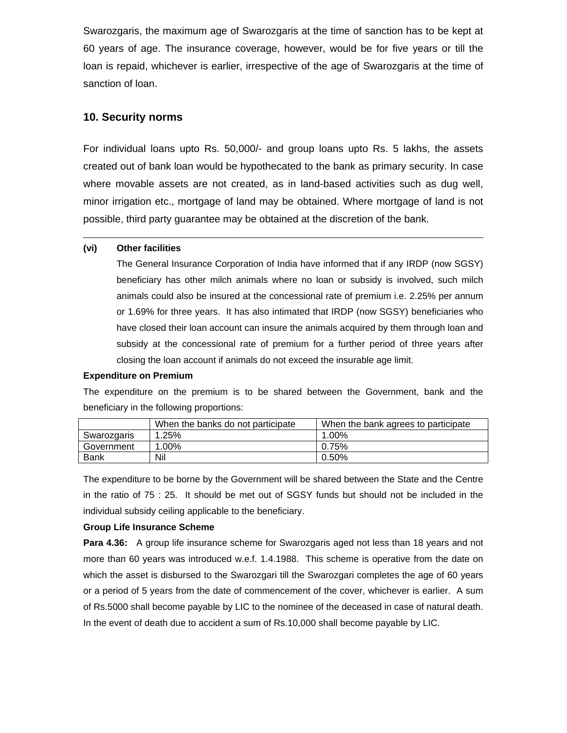Swarozgaris, the maximum age of Swarozgaris at the time of sanction has to be kept at 60 years of age. The insurance coverage, however, would be for five years or till the loan is repaid, whichever is earlier, irrespective of the age of Swarozgaris at the time of sanction of loan.

## **10. Security norms**

For individual loans upto Rs. 50,000/- and group loans upto Rs. 5 lakhs, the assets created out of bank loan would be hypothecated to the bank as primary security. In case where movable assets are not created, as in land-based activities such as dug well, minor irrigation etc., mortgage of land may be obtained. Where mortgage of land is not possible, third party guarantee may be obtained at the discretion of the bank.

#### **(vi) Other facilities**

 $\overline{a}$ 

The General Insurance Corporation of India have informed that if any IRDP (now SGSY) beneficiary has other milch animals where no loan or subsidy is involved, such milch animals could also be insured at the concessional rate of premium i.e. 2.25% per annum or 1.69% for three years. It has also intimated that IRDP (now SGSY) beneficiaries who have closed their loan account can insure the animals acquired by them through loan and subsidy at the concessional rate of premium for a further period of three years after closing the loan account if animals do not exceed the insurable age limit.

#### **Expenditure on Premium**

The expenditure on the premium is to be shared between the Government, bank and the beneficiary in the following proportions:

|             | When the banks do not participate | When the bank agrees to participate |  |  |  |  |
|-------------|-----------------------------------|-------------------------------------|--|--|--|--|
| Swarozgaris | 1.25%                             | 1.00%                               |  |  |  |  |
| Government  | 1.00%                             | 0.75%                               |  |  |  |  |
| <b>Bank</b> | Nil                               | 0.50%                               |  |  |  |  |

The expenditure to be borne by the Government will be shared between the State and the Centre in the ratio of 75 : 25. It should be met out of SGSY funds but should not be included in the individual subsidy ceiling applicable to the beneficiary.

#### **Group Life Insurance Scheme**

**Para 4.36:** A group life insurance scheme for Swarozgaris aged not less than 18 years and not more than 60 years was introduced w.e.f. 1.4.1988. This scheme is operative from the date on which the asset is disbursed to the Swarozgari till the Swarozgari completes the age of 60 years or a period of 5 years from the date of commencement of the cover, whichever is earlier. A sum of Rs.5000 shall become payable by LIC to the nominee of the deceased in case of natural death. In the event of death due to accident a sum of Rs.10,000 shall become payable by LIC.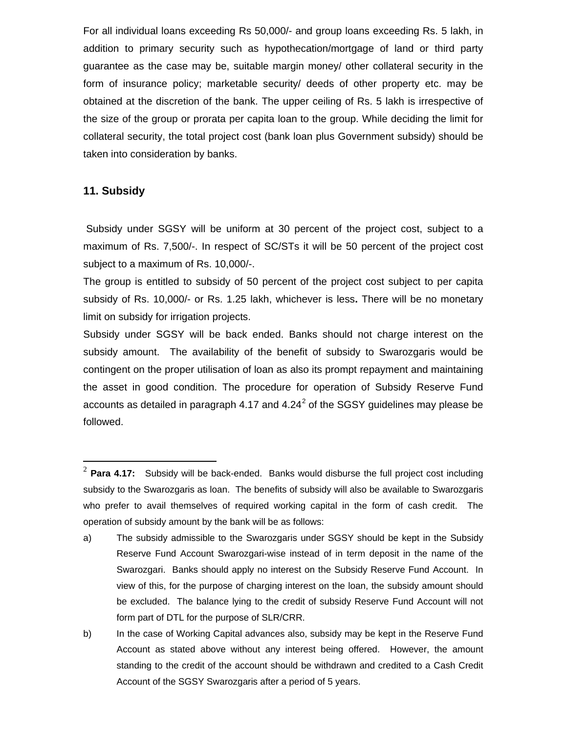For all individual loans exceeding Rs 50,000/- and group loans exceeding Rs. 5 lakh, in addition to primary security such as hypothecation/mortgage of land or third party guarantee as the case may be, suitable margin money/ other collateral security in the form of insurance policy; marketable security/ deeds of other property etc. may be obtained at the discretion of the bank. The upper ceiling of Rs. 5 lakh is irrespective of the size of the group or prorata per capita loan to the group. While deciding the limit for collateral security, the total project cost (bank loan plus Government subsidy) should be taken into consideration by banks.

## **11. Subsidy**

 $\overline{a}$ 

Subsidy under SGSY will be uniform at 30 percent of the project cost, subject to a maximum of Rs. 7,500/-. In respect of SC/STs it will be 50 percent of the project cost subject to a maximum of Rs. 10,000/-.

The group is entitled to subsidy of 50 percent of the project cost subject to per capita subsidy of Rs. 10,000/- or Rs. 1.25 lakh, whichever is less**.** There will be no monetary limit on subsidy for irrigation projects.

Subsidy under SGSY will be back ended. Banks should not charge interest on the subsidy amount. The availability of the benefit of subsidy to Swarozgaris would be contingent on the proper utilisation of loan as also its prompt repayment and maintaining the asset in good condition. The procedure for operation of Subsidy Reserve Fund accounts as detailed in paragraph 4.17 and 4.[2](#page-11-0)4<sup>2</sup> of the SGSY guidelines may please be followed.

<span id="page-11-0"></span><sup>2</sup> **Para 4.17:** Subsidy will be back-ended. Banks would disburse the full project cost including subsidy to the Swarozgaris as loan. The benefits of subsidy will also be available to Swarozgaris who prefer to avail themselves of required working capital in the form of cash credit. The operation of subsidy amount by the bank will be as follows:

a) The subsidy admissible to the Swarozgaris under SGSY should be kept in the Subsidy Reserve Fund Account Swarozgari-wise instead of in term deposit in the name of the Swarozgari. Banks should apply no interest on the Subsidy Reserve Fund Account. In view of this, for the purpose of charging interest on the loan, the subsidy amount should be excluded. The balance lying to the credit of subsidy Reserve Fund Account will not form part of DTL for the purpose of SLR/CRR.

b) In the case of Working Capital advances also, subsidy may be kept in the Reserve Fund Account as stated above without any interest being offered. However, the amount standing to the credit of the account should be withdrawn and credited to a Cash Credit Account of the SGSY Swarozgaris after a period of 5 years.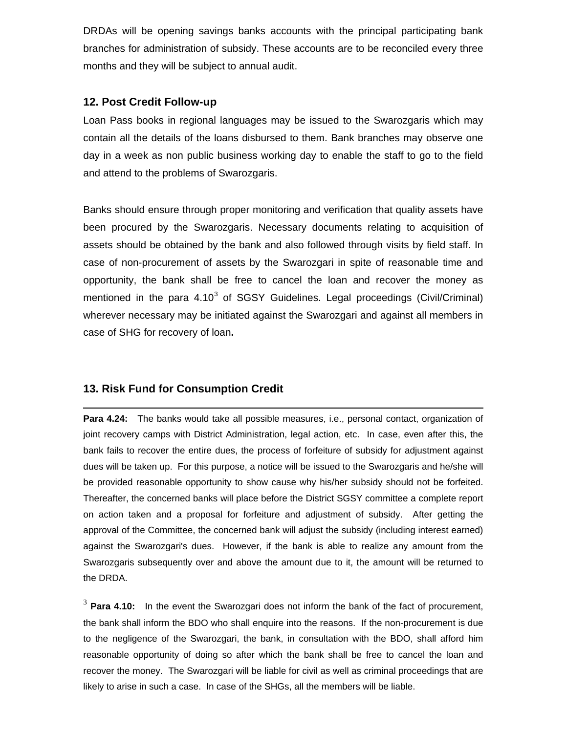DRDAs will be opening savings banks accounts with the principal participating bank branches for administration of subsidy. These accounts are to be reconciled every three months and they will be subject to annual audit.

## **12. Post Credit Follow-up**

Loan Pass books in regional languages may be issued to the Swarozgaris which may contain all the details of the loans disbursed to them. Bank branches may observe one day in a week as non public business working day to enable the staff to go to the field and attend to the problems of Swarozgaris.

Banks should ensure through proper monitoring and verification that quality assets have been procured by the Swarozgaris. Necessary documents relating to acquisition of assets should be obtained by the bank and also followed through visits by field staff. In case of non-procurement of assets by the Swarozgari in spite of reasonable time and opportunity, the bank shall be free to cancel the loan and recover the money as mentioned in the para  $4.10<sup>3</sup>$  $4.10<sup>3</sup>$  $4.10<sup>3</sup>$  of SGSY Guidelines. Legal proceedings (Civil/Criminal) wherever necessary may be initiated against the Swarozgari and against all members in case of SHG for recovery of loan**.** 

# **13. Risk Fund for Consumption Credit**

 $\overline{a}$ **Para 4.24:** The banks would take all possible measures, i.e., personal contact, organization of joint recovery camps with District Administration, legal action, etc. In case, even after this, the bank fails to recover the entire dues, the process of forfeiture of subsidy for adjustment against dues will be taken up. For this purpose, a notice will be issued to the Swarozgaris and he/she will be provided reasonable opportunity to show cause why his/her subsidy should not be forfeited. Thereafter, the concerned banks will place before the District SGSY committee a complete report on action taken and a proposal for forfeiture and adjustment of subsidy. After getting the approval of the Committee, the concerned bank will adjust the subsidy (including interest earned) against the Swarozgari's dues. However, if the bank is able to realize any amount from the Swarozgaris subsequently over and above the amount due to it, the amount will be returned to the DRDA.

<span id="page-12-0"></span><sup>3</sup> **Para 4.10:** In the event the Swarozgari does not inform the bank of the fact of procurement, the bank shall inform the BDO who shall enquire into the reasons. If the non-procurement is due to the negligence of the Swarozgari, the bank, in consultation with the BDO, shall afford him reasonable opportunity of doing so after which the bank shall be free to cancel the loan and recover the money. The Swarozgari will be liable for civil as well as criminal proceedings that are likely to arise in such a case. In case of the SHGs, all the members will be liable.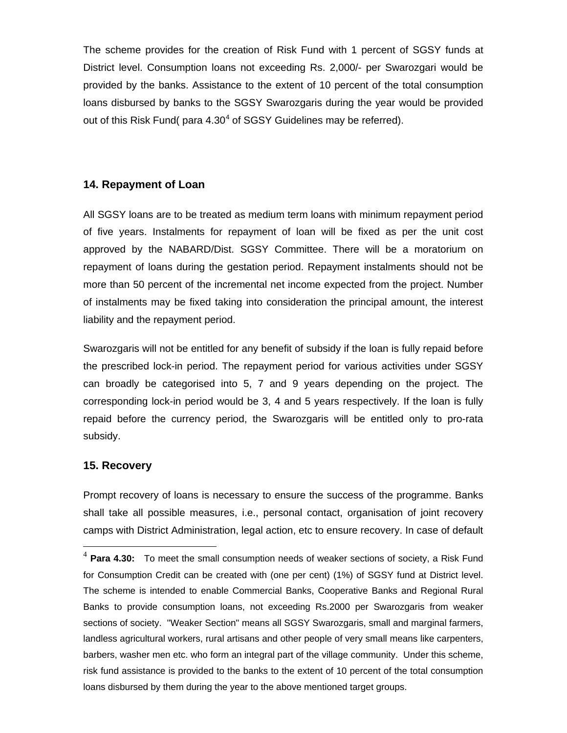The scheme provides for the creation of Risk Fund with 1 percent of SGSY funds at District level. Consumption loans not exceeding Rs. 2,000/- per Swarozgari would be provided by the banks. Assistance to the extent of 10 percent of the total consumption loans disbursed by banks to the SGSY Swarozgaris during the year would be provided out of this Risk Fund( para  $4.30<sup>4</sup>$  $4.30<sup>4</sup>$  of SGSY Guidelines may be referred).

## **14. Repayment of Loan**

All SGSY loans are to be treated as medium term loans with minimum repayment period of five years. Instalments for repayment of loan will be fixed as per the unit cost approved by the NABARD/Dist. SGSY Committee. There will be a moratorium on repayment of loans during the gestation period. Repayment instalments should not be more than 50 percent of the incremental net income expected from the project. Number of instalments may be fixed taking into consideration the principal amount, the interest liability and the repayment period.

Swarozgaris will not be entitled for any benefit of subsidy if the loan is fully repaid before the prescribed lock-in period. The repayment period for various activities under SGSY can broadly be categorised into 5, 7 and 9 years depending on the project. The corresponding lock-in period would be 3, 4 and 5 years respectively. If the loan is fully repaid before the currency period, the Swarozgaris will be entitled only to pro-rata subsidy.

## **15. Recovery**

 $\overline{a}$ 

Prompt recovery of loans is necessary to ensure the success of the programme. Banks shall take all possible measures, i.e., personal contact, organisation of joint recovery camps with District Administration, legal action, etc to ensure recovery. In case of default

<span id="page-13-0"></span><sup>4</sup> **Para 4.30:** To meet the small consumption needs of weaker sections of society, a Risk Fund for Consumption Credit can be created with (one per cent) (1%) of SGSY fund at District level. The scheme is intended to enable Commercial Banks, Cooperative Banks and Regional Rural Banks to provide consumption loans, not exceeding Rs.2000 per Swarozgaris from weaker sections of society. "Weaker Section" means all SGSY Swarozgaris, small and marginal farmers, landless agricultural workers, rural artisans and other people of very small means like carpenters, barbers, washer men etc. who form an integral part of the village community. Under this scheme, risk fund assistance is provided to the banks to the extent of 10 percent of the total consumption loans disbursed by them during the year to the above mentioned target groups.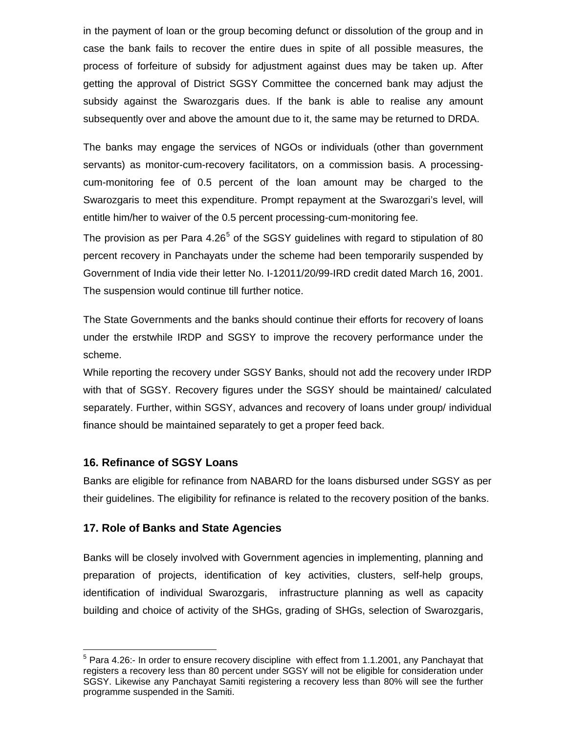in the payment of loan or the group becoming defunct or dissolution of the group and in case the bank fails to recover the entire dues in spite of all possible measures, the process of forfeiture of subsidy for adjustment against dues may be taken up. After getting the approval of District SGSY Committee the concerned bank may adjust the subsidy against the Swarozgaris dues. If the bank is able to realise any amount subsequently over and above the amount due to it, the same may be returned to DRDA.

The banks may engage the services of NGOs or individuals (other than government servants) as monitor-cum-recovery facilitators, on a commission basis. A processingcum-monitoring fee of 0.5 percent of the loan amount may be charged to the Swarozgaris to meet this expenditure. Prompt repayment at the Swarozgari's level, will entitle him/her to waiver of the 0.5 percent processing-cum-monitoring fee.

The provision as per Para  $4.26<sup>5</sup>$  $4.26<sup>5</sup>$  $4.26<sup>5</sup>$  of the SGSY guidelines with regard to stipulation of 80 percent recovery in Panchayats under the scheme had been temporarily suspended by Government of India vide their letter No. I-12011/20/99-IRD credit dated March 16, 2001. The suspension would continue till further notice.

The State Governments and the banks should continue their efforts for recovery of loans under the erstwhile IRDP and SGSY to improve the recovery performance under the scheme.

While reporting the recovery under SGSY Banks, should not add the recovery under IRDP with that of SGSY. Recovery figures under the SGSY should be maintained/ calculated separately. Further, within SGSY, advances and recovery of loans under group/ individual finance should be maintained separately to get a proper feed back.

## **16. Refinance of SGSY Loans**

 $\overline{a}$ 

Banks are eligible for refinance from NABARD for the loans disbursed under SGSY as per their guidelines. The eligibility for refinance is related to the recovery position of the banks.

## **17. Role of Banks and State Agencies**

Banks will be closely involved with Government agencies in implementing, planning and preparation of projects, identification of key activities, clusters, self-help groups, identification of individual Swarozgaris, infrastructure planning as well as capacity building and choice of activity of the SHGs, grading of SHGs, selection of Swarozgaris,

<span id="page-14-0"></span> $5$  Para 4.26:- In order to ensure recovery discipline with effect from 1.1.2001, any Panchayat that registers a recovery less than 80 percent under SGSY will not be eligible for consideration under SGSY. Likewise any Panchayat Samiti registering a recovery less than 80% will see the further programme suspended in the Samiti.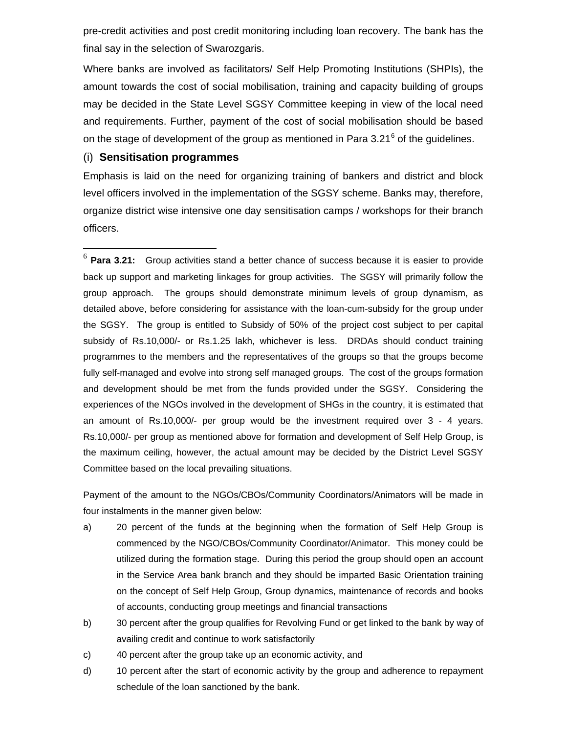pre-credit activities and post credit monitoring including loan recovery. The bank has the final say in the selection of Swarozgaris.

Where banks are involved as facilitators/ Self Help Promoting Institutions (SHPIs), the amount towards the cost of social mobilisation, training and capacity building of groups may be decided in the State Level SGSY Committee keeping in view of the local need and requirements. Further, payment of the cost of social mobilisation should be based on the stage of development of the group as mentioned in Para 3.21 $<sup>6</sup>$  $<sup>6</sup>$  $<sup>6</sup>$  of the guidelines.</sup>

#### (i) **Sensitisation programmes**

 $\overline{a}$ 

Emphasis is laid on the need for organizing training of bankers and district and block level officers involved in the implementation of the SGSY scheme. Banks may, therefore, organize district wise intensive one day sensitisation camps / workshops for their branch officers.

<span id="page-15-0"></span><sup>6</sup> **Para 3.21:** Group activities stand a better chance of success because it is easier to provide back up support and marketing linkages for group activities. The SGSY will primarily follow the group approach. The groups should demonstrate minimum levels of group dynamism, as detailed above, before considering for assistance with the loan-cum-subsidy for the group under the SGSY. The group is entitled to Subsidy of 50% of the project cost subject to per capital subsidy of Rs.10,000/- or Rs.1.25 lakh, whichever is less. DRDAs should conduct training programmes to the members and the representatives of the groups so that the groups become fully self-managed and evolve into strong self managed groups. The cost of the groups formation and development should be met from the funds provided under the SGSY. Considering the experiences of the NGOs involved in the development of SHGs in the country, it is estimated that an amount of Rs.10,000/- per group would be the investment required over 3 - 4 years. Rs.10,000/- per group as mentioned above for formation and development of Self Help Group, is the maximum ceiling, however, the actual amount may be decided by the District Level SGSY Committee based on the local prevailing situations.

Payment of the amount to the NGOs/CBOs/Community Coordinators/Animators will be made in four instalments in the manner given below:

- a) 20 percent of the funds at the beginning when the formation of Self Help Group is commenced by the NGO/CBOs/Community Coordinator/Animator. This money could be utilized during the formation stage. During this period the group should open an account in the Service Area bank branch and they should be imparted Basic Orientation training on the concept of Self Help Group, Group dynamics, maintenance of records and books of accounts, conducting group meetings and financial transactions
- b) 30 percent after the group qualifies for Revolving Fund or get linked to the bank by way of availing credit and continue to work satisfactorily
- c) 40 percent after the group take up an economic activity, and
- d) 10 percent after the start of economic activity by the group and adherence to repayment schedule of the loan sanctioned by the bank.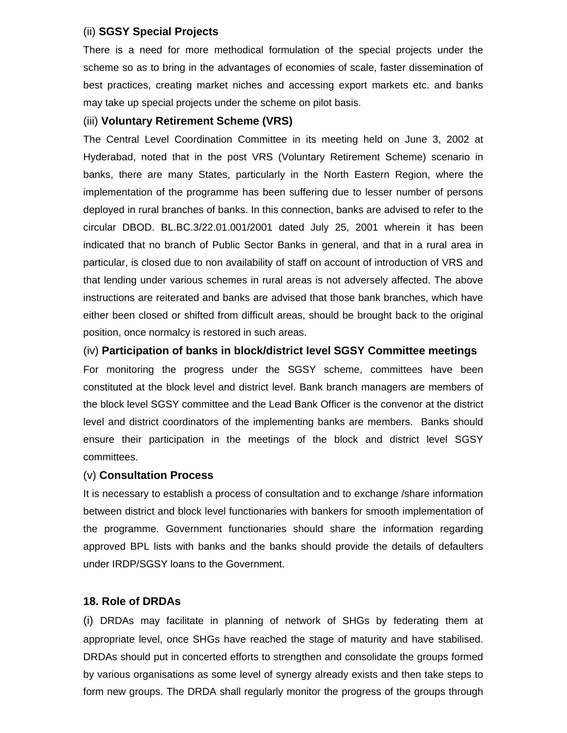## (ii) **SGSY Special Projects**

There is a need for more methodical formulation of the special projects under the scheme so as to bring in the advantages of economies of scale, faster dissemination of best practices, creating market niches and accessing export markets etc. and banks may take up special projects under the scheme on pilot basis.

## (iii) **Voluntary Retirement Scheme (VRS)**

The Central Level Coordination Committee in its meeting held on June 3, 2002 at Hyderabad, noted that in the post VRS (Voluntary Retirement Scheme) scenario in banks, there are many States, particularly in the North Eastern Region, where the implementation of the programme has been suffering due to lesser number of persons deployed in rural branches of banks. In this connection, banks are advised to refer to the circular DBOD. BL.BC.3/22.01.001/2001 dated July 25, 2001 wherein it has been indicated that no branch of Public Sector Banks in general, and that in a rural area in particular, is closed due to non availability of staff on account of introduction of VRS and that lending under various schemes in rural areas is not adversely affected. The above instructions are reiterated and banks are advised that those bank branches, which have either been closed or shifted from difficult areas, should be brought back to the original position, once normalcy is restored in such areas.

(iv) **Participation of banks in block/district level SGSY Committee meetings**  For monitoring the progress under the SGSY scheme, committees have been constituted at the block level and district level. Bank branch managers are members of the block level SGSY committee and the Lead Bank Officer is the convenor at the district level and district coordinators of the implementing banks are members. Banks should ensure their participation in the meetings of the block and district level SGSY committees.

## (v) **Consultation Process**

It is necessary to establish a process of consultation and to exchange /share information between district and block level functionaries with bankers for smooth implementation of the programme. Government functionaries should share the information regarding approved BPL lists with banks and the banks should provide the details of defaulters under IRDP/SGSY loans to the Government.

## **18. Role of DRDAs**

(i) DRDAs may facilitate in planning of network of SHGs by federating them at appropriate level, once SHGs have reached the stage of maturity and have stabilised. DRDAs should put in concerted efforts to strengthen and consolidate the groups formed by various organisations as some level of synergy already exists and then take steps to form new groups. The DRDA shall regularly monitor the progress of the groups through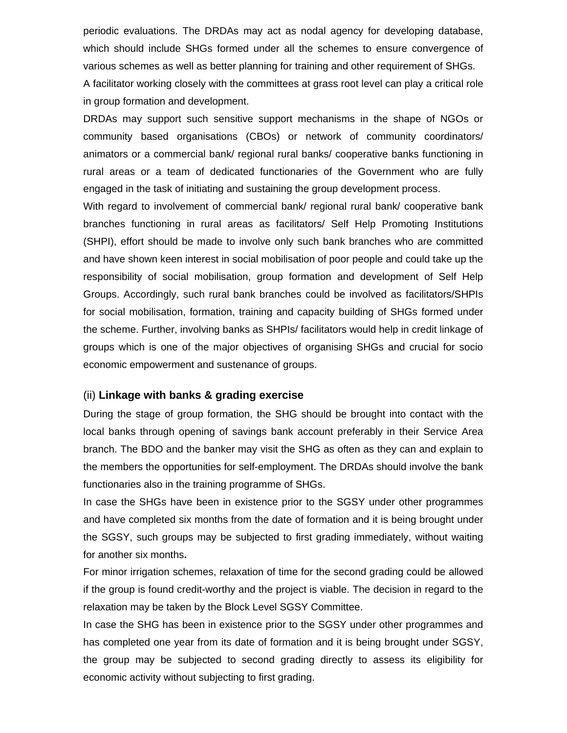periodic evaluations. The DRDAs may act as nodal agency for developing database, which should include SHGs formed under all the schemes to ensure convergence of various schemes as well as better planning for training and other requirement of SHGs. A facilitator working closely with the committees at grass root level can play a critical role in group formation and development.

DRDAs may support such sensitive support mechanisms in the shape of NGOs or community based organisations (CBOs) or network of community coordinators/ animators or a commercial bank/ regional rural banks/ cooperative banks functioning in rural areas or a team of dedicated functionaries of the Government who are fully engaged in the task of initiating and sustaining the group development process.

With regard to involvement of commercial bank/ regional rural bank/ cooperative bank branches functioning in rural areas as facilitators/ Self Help Promoting Institutions (SHPI), effort should be made to involve only such bank branches who are committed and have shown keen interest in social mobilisation of poor people and could take up the responsibility of social mobilisation, group formation and development of Self Help Groups. Accordingly, such rural bank branches could be involved as facilitators/SHPIs for social mobilisation, formation, training and capacity building of SHGs formed under the scheme. Further, involving banks as SHPIs/ facilitators would help in credit linkage of groups which is one of the major objectives of organising SHGs and crucial for socio economic empowerment and sustenance of groups.

#### (ii) **Linkage with banks & grading exercise**

During the stage of group formation, the SHG should be brought into contact with the local banks through opening of savings bank account preferably in their Service Area branch. The BDO and the banker may visit the SHG as often as they can and explain to the members the opportunities for self-employment. The DRDAs should involve the bank functionaries also in the training programme of SHGs.

In case the SHGs have been in existence prior to the SGSY under other programmes and have completed six months from the date of formation and it is being brought under the SGSY, such groups may be subjected to first grading immediately, without waiting for another six months**.** 

For minor irrigation schemes, relaxation of time for the second grading could be allowed if the group is found credit-worthy and the project is viable. The decision in regard to the relaxation may be taken by the Block Level SGSY Committee.

In case the SHG has been in existence prior to the SGSY under other programmes and has completed one year from its date of formation and it is being brought under SGSY, the group may be subjected to second grading directly to assess its eligibility for economic activity without subjecting to first grading.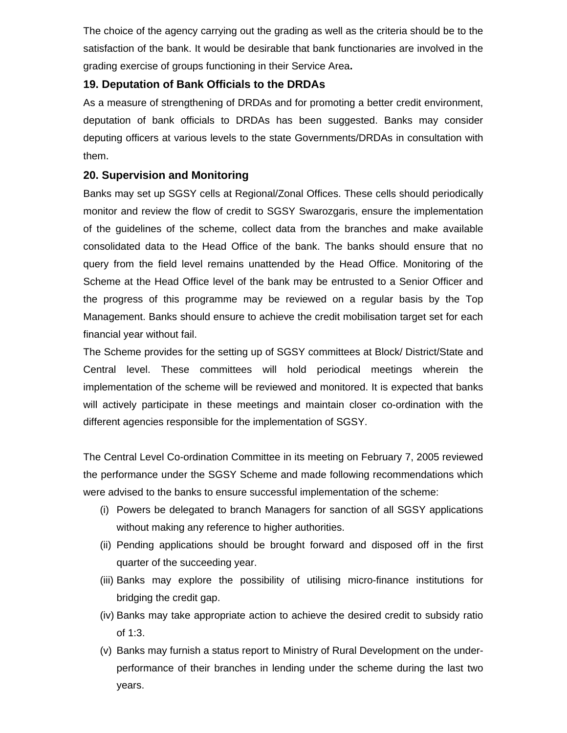The choice of the agency carrying out the grading as well as the criteria should be to the satisfaction of the bank. It would be desirable that bank functionaries are involved in the grading exercise of groups functioning in their Service Area**.** 

# **19. Deputation of Bank Officials to the DRDAs**

As a measure of strengthening of DRDAs and for promoting a better credit environment, deputation of bank officials to DRDAs has been suggested. Banks may consider deputing officers at various levels to the state Governments/DRDAs in consultation with them.

# **20. Supervision and Monitoring**

Banks may set up SGSY cells at Regional/Zonal Offices. These cells should periodically monitor and review the flow of credit to SGSY Swarozgaris, ensure the implementation of the guidelines of the scheme, collect data from the branches and make available consolidated data to the Head Office of the bank. The banks should ensure that no query from the field level remains unattended by the Head Office. Monitoring of the Scheme at the Head Office level of the bank may be entrusted to a Senior Officer and the progress of this programme may be reviewed on a regular basis by the Top Management. Banks should ensure to achieve the credit mobilisation target set for each financial year without fail.

The Scheme provides for the setting up of SGSY committees at Block/ District/State and Central level. These committees will hold periodical meetings wherein the implementation of the scheme will be reviewed and monitored. It is expected that banks will actively participate in these meetings and maintain closer co-ordination with the different agencies responsible for the implementation of SGSY.

The Central Level Co-ordination Committee in its meeting on February 7, 2005 reviewed the performance under the SGSY Scheme and made following recommendations which were advised to the banks to ensure successful implementation of the scheme:

- (i) Powers be delegated to branch Managers for sanction of all SGSY applications without making any reference to higher authorities.
- (ii) Pending applications should be brought forward and disposed off in the first quarter of the succeeding year.
- (iii) Banks may explore the possibility of utilising micro-finance institutions for bridging the credit gap.
- (iv) Banks may take appropriate action to achieve the desired credit to subsidy ratio of 1:3.
- (v) Banks may furnish a status report to Ministry of Rural Development on the underperformance of their branches in lending under the scheme during the last two years.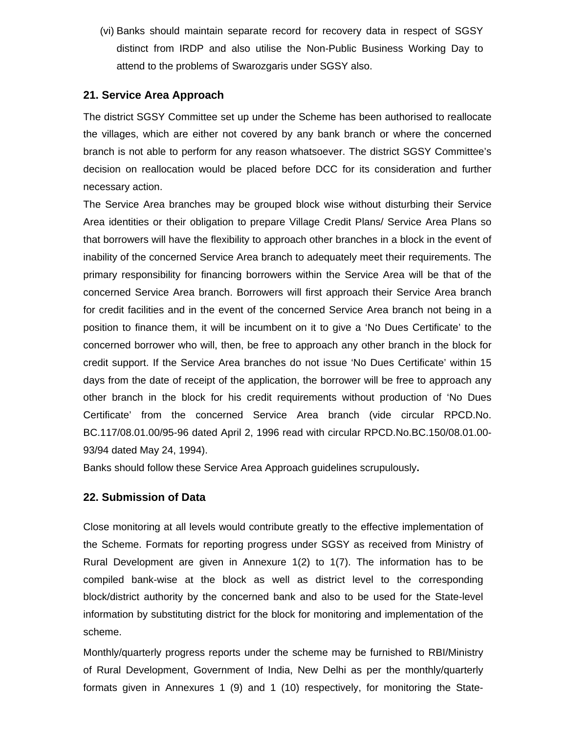(vi) Banks should maintain separate record for recovery data in respect of SGSY distinct from IRDP and also utilise the Non-Public Business Working Day to attend to the problems of Swarozgaris under SGSY also.

## **21. Service Area Approach**

The district SGSY Committee set up under the Scheme has been authorised to reallocate the villages, which are either not covered by any bank branch or where the concerned branch is not able to perform for any reason whatsoever. The district SGSY Committee's decision on reallocation would be placed before DCC for its consideration and further necessary action.

The Service Area branches may be grouped block wise without disturbing their Service Area identities or their obligation to prepare Village Credit Plans/ Service Area Plans so that borrowers will have the flexibility to approach other branches in a block in the event of inability of the concerned Service Area branch to adequately meet their requirements. The primary responsibility for financing borrowers within the Service Area will be that of the concerned Service Area branch. Borrowers will first approach their Service Area branch for credit facilities and in the event of the concerned Service Area branch not being in a position to finance them, it will be incumbent on it to give a 'No Dues Certificate' to the concerned borrower who will, then, be free to approach any other branch in the block for credit support. If the Service Area branches do not issue 'No Dues Certificate' within 15 days from the date of receipt of the application, the borrower will be free to approach any other branch in the block for his credit requirements without production of 'No Dues Certificate' from the concerned Service Area branch (vide circular RPCD.No. BC.117/08.01.00/95-96 dated April 2, 1996 read with circular RPCD.No.BC.150/08.01.00- 93/94 dated May 24, 1994).

Banks should follow these Service Area Approach guidelines scrupulously**.** 

## **22. Submission of Data**

Close monitoring at all levels would contribute greatly to the effective implementation of the Scheme. Formats for reporting progress under SGSY as received from Ministry of Rural Development are given in Annexure 1(2) to 1(7). The information has to be compiled bank-wise at the block as well as district level to the corresponding block/district authority by the concerned bank and also to be used for the State-level information by substituting district for the block for monitoring and implementation of the scheme.

Monthly/quarterly progress reports under the scheme may be furnished to RBI/Ministry of Rural Development, Government of India, New Delhi as per the monthly/quarterly formats given in Annexures 1 (9) and 1 (10) respectively, for monitoring the State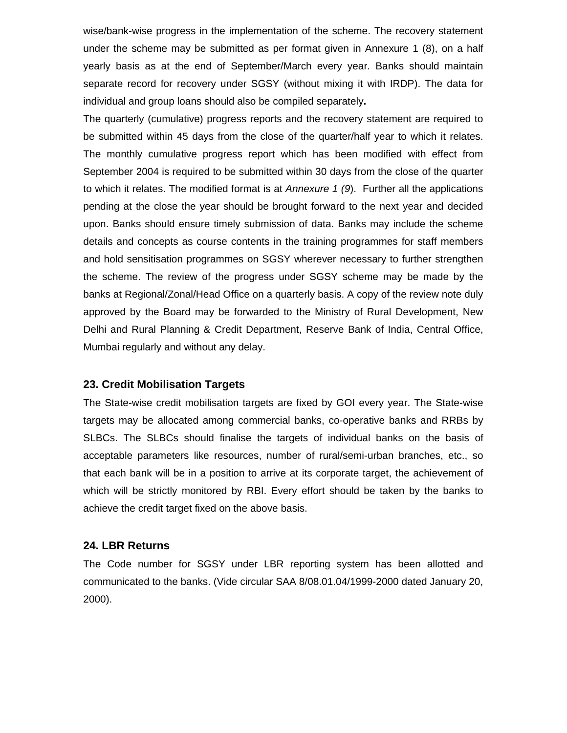wise/bank-wise progress in the implementation of the scheme. The recovery statement under the scheme may be submitted as per format given in Annexure 1 (8), on a half yearly basis as at the end of September/March every year. Banks should maintain separate record for recovery under SGSY (without mixing it with IRDP). The data for individual and group loans should also be compiled separately**.**

The quarterly (cumulative) progress reports and the recovery statement are required to be submitted within 45 days from the close of the quarter/half year to which it relates. The monthly cumulative progress report which has been modified with effect from September 2004 is required to be submitted within 30 days from the close of the quarter to which it relates. The modified format is at *Annexure 1 (9*). Further all the applications pending at the close the year should be brought forward to the next year and decided upon. Banks should ensure timely submission of data. Banks may include the scheme details and concepts as course contents in the training programmes for staff members and hold sensitisation programmes on SGSY wherever necessary to further strengthen the scheme. The review of the progress under SGSY scheme may be made by the banks at Regional/Zonal/Head Office on a quarterly basis. A copy of the review note duly approved by the Board may be forwarded to the Ministry of Rural Development, New Delhi and Rural Planning & Credit Department, Reserve Bank of India, Central Office, Mumbai regularly and without any delay.

## **23. Credit Mobilisation Targets**

The State-wise credit mobilisation targets are fixed by GOI every year. The State-wise targets may be allocated among commercial banks, co-operative banks and RRBs by SLBCs. The SLBCs should finalise the targets of individual banks on the basis of acceptable parameters like resources, number of rural/semi-urban branches, etc., so that each bank will be in a position to arrive at its corporate target, the achievement of which will be strictly monitored by RBI. Every effort should be taken by the banks to achieve the credit target fixed on the above basis.

#### **24. LBR Returns**

The Code number for SGSY under LBR reporting system has been allotted and communicated to the banks. (Vide circular SAA 8/08.01.04/1999-2000 dated January 20, 2000).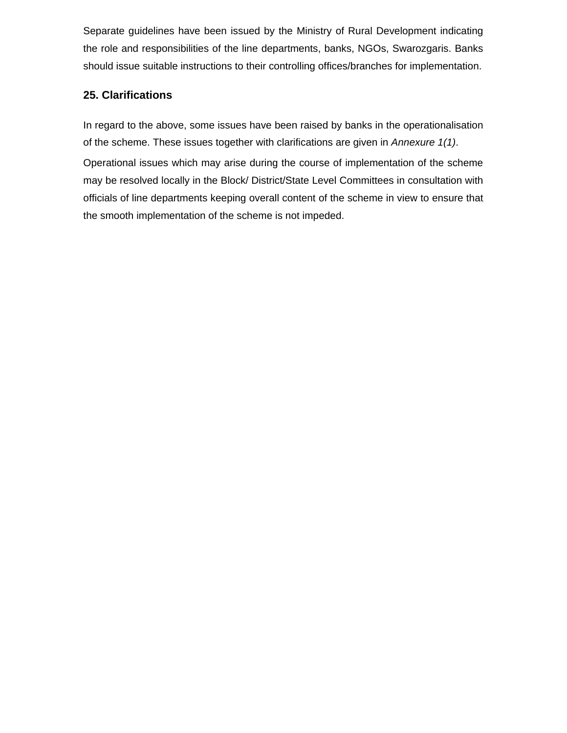Separate guidelines have been issued by the Ministry of Rural Development indicating the role and responsibilities of the line departments, banks, NGOs, Swarozgaris. Banks should issue suitable instructions to their controlling offices/branches for implementation.

# **25. Clarifications**

In regard to the above, some issues have been raised by banks in the operationalisation of the scheme. These issues together with clarifications are given in *Annexure 1(1)*.

Operational issues which may arise during the course of implementation of the scheme may be resolved locally in the Block/ District/State Level Committees in consultation with officials of line departments keeping overall content of the scheme in view to ensure that the smooth implementation of the scheme is not impeded.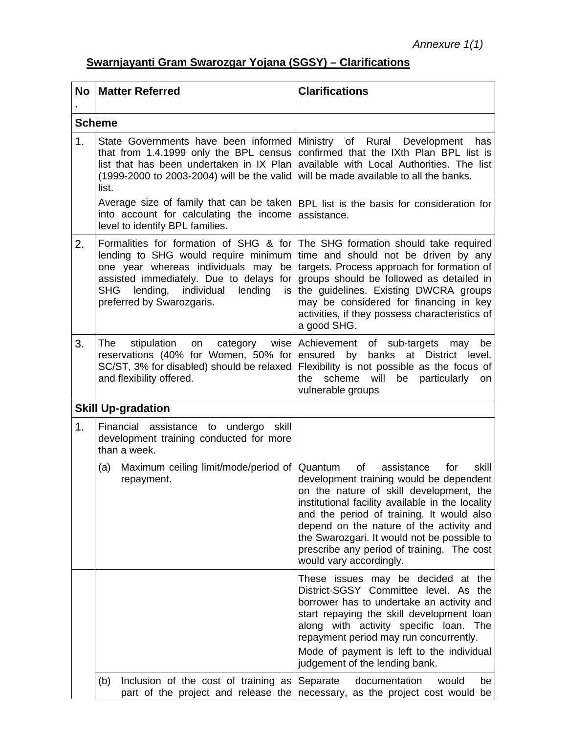# **Swarnjayanti Gram Swarozgar Yojana (SGSY) – Clarifications**

| <b>No</b> | <b>Matter Referred</b>                                                                                                                                                                                                                                 | <b>Clarifications</b>                                                                                                                                                                                                                                                                                                                                                                                  |  |  |  |  |
|-----------|--------------------------------------------------------------------------------------------------------------------------------------------------------------------------------------------------------------------------------------------------------|--------------------------------------------------------------------------------------------------------------------------------------------------------------------------------------------------------------------------------------------------------------------------------------------------------------------------------------------------------------------------------------------------------|--|--|--|--|
|           | <b>Scheme</b>                                                                                                                                                                                                                                          |                                                                                                                                                                                                                                                                                                                                                                                                        |  |  |  |  |
| 1.        | State Governments have been informed<br>that from 1.4.1999 only the BPL census<br>list that has been undertaken in IX Plan<br>(1999-2000 to 2003-2004) will be the valid<br>list.                                                                      | Ministry of Rural Development<br>has<br>confirmed that the IXth Plan BPL list is<br>available with Local Authorities. The list<br>will be made available to all the banks.                                                                                                                                                                                                                             |  |  |  |  |
|           | Average size of family that can be taken<br>into account for calculating the income<br>level to identify BPL families.                                                                                                                                 | BPL list is the basis for consideration for<br>assistance.                                                                                                                                                                                                                                                                                                                                             |  |  |  |  |
| 2.        | Formalities for formation of SHG & for<br>lending to SHG would require minimum<br>one year whereas individuals may be<br>assisted immediately. Due to delays for<br><b>SHG</b><br>lending,<br>individual<br>lending<br>is<br>preferred by Swarozgaris. | The SHG formation should take required<br>time and should not be driven by any<br>targets. Process approach for formation of<br>groups should be followed as detailed in<br>the guidelines. Existing DWCRA groups<br>may be considered for financing in key<br>activities, if they possess characteristics of<br>a good SHG.                                                                           |  |  |  |  |
| 3.        | The<br>stipulation<br>category<br>wise<br>on<br>reservations (40% for Women, 50% for<br>SC/ST, 3% for disabled) should be relaxed<br>and flexibility offered.                                                                                          | Achievement of sub-targets<br>may<br>be<br>banks at District level.<br>ensured<br>by<br>Flexibility is not possible as the focus of<br>scheme<br>will<br>be<br>particularly<br>the<br>on<br>vulnerable groups                                                                                                                                                                                          |  |  |  |  |
|           | <b>Skill Up-gradation</b>                                                                                                                                                                                                                              |                                                                                                                                                                                                                                                                                                                                                                                                        |  |  |  |  |
| 1.        | Financial assistance to undergo<br>skill<br>development training conducted for more<br>than a week.                                                                                                                                                    |                                                                                                                                                                                                                                                                                                                                                                                                        |  |  |  |  |
|           | Maximum ceiling limit/mode/period of<br>(a)<br>repayment.                                                                                                                                                                                              | Quantum<br>of<br>assistance<br>skill<br>for<br>development training would be dependent<br>on the nature of skill development, the<br>institutional facility available in the locality<br>and the period of training. It would also<br>depend on the nature of the activity and<br>the Swarozgari. It would not be possible to<br>prescribe any period of training. The cost<br>would vary accordingly. |  |  |  |  |
|           |                                                                                                                                                                                                                                                        | These issues may be decided at the<br>District-SGSY Committee level. As the<br>borrower has to undertake an activity and<br>start repaying the skill development loan<br>along with activity specific loan. The<br>repayment period may run concurrently.<br>Mode of payment is left to the individual<br>judgement of the lending bank.                                                               |  |  |  |  |
|           | Inclusion of the cost of training as<br>(b)                                                                                                                                                                                                            | Separate<br>documentation<br>would<br>be<br>part of the project and release the necessary, as the project cost would be                                                                                                                                                                                                                                                                                |  |  |  |  |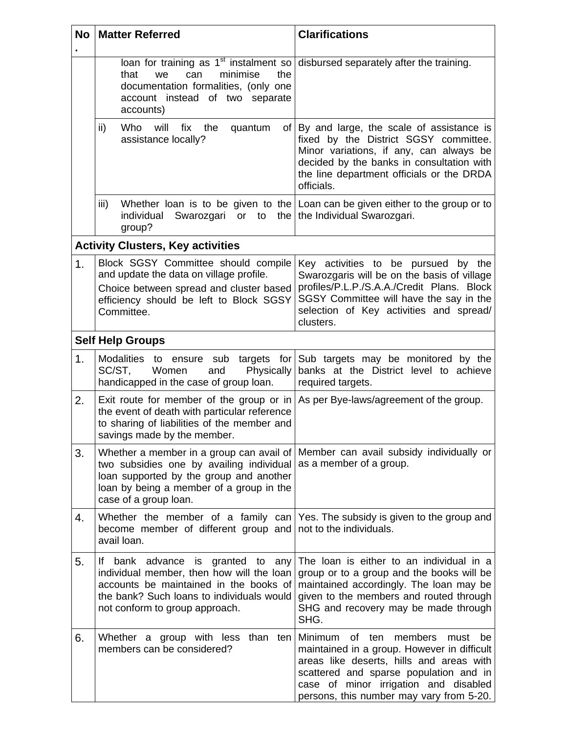| <b>No</b>      | <b>Matter Referred</b>                                                                                                                                                                                                         | <b>Clarifications</b>                                                                                                                                                                                                                                                |  |  |  |  |  |  |  |
|----------------|--------------------------------------------------------------------------------------------------------------------------------------------------------------------------------------------------------------------------------|----------------------------------------------------------------------------------------------------------------------------------------------------------------------------------------------------------------------------------------------------------------------|--|--|--|--|--|--|--|
|                | minimise<br>that<br>the<br>we<br>can<br>documentation formalities, (only one<br>account instead of two separate<br>accounts)                                                                                                   | loan for training as $1st$ instalment so disbursed separately after the training.                                                                                                                                                                                    |  |  |  |  |  |  |  |
|                | ii)<br>Who<br>will<br>fix<br>the<br>quantum<br>assistance locally?                                                                                                                                                             | of By and large, the scale of assistance is<br>fixed by the District SGSY committee.<br>Minor variations, if any, can always be<br>decided by the banks in consultation with<br>the line department officials or the DRDA<br>officials.                              |  |  |  |  |  |  |  |
|                | iii)<br>individual<br>Swarozgari<br>or<br>to<br>the  <br>group?                                                                                                                                                                | Whether loan is to be given to the $\lfloor$ Loan can be given either to the group or to<br>the Individual Swarozgari.                                                                                                                                               |  |  |  |  |  |  |  |
|                | <b>Activity Clusters, Key activities</b>                                                                                                                                                                                       |                                                                                                                                                                                                                                                                      |  |  |  |  |  |  |  |
| 1 <sub>1</sub> | Block SGSY Committee should compile<br>and update the data on village profile.<br>Choice between spread and cluster based<br>efficiency should be left to Block SGSY<br>Committee.                                             | Key activities to be pursued by the<br>Swarozgaris will be on the basis of village<br>profiles/P.L.P./S.A.A./Credit Plans. Block<br>SGSY Committee will have the say in the<br>selection of Key activities and spread/<br>clusters.                                  |  |  |  |  |  |  |  |
|                | <b>Self Help Groups</b>                                                                                                                                                                                                        |                                                                                                                                                                                                                                                                      |  |  |  |  |  |  |  |
| 1.             | Modalities to ensure sub targets<br>SC/ST,<br>Women<br>Physically<br>and<br>handicapped in the case of group loan.                                                                                                             | for Sub targets may be monitored by the<br>banks at the District level to achieve<br>required targets.                                                                                                                                                               |  |  |  |  |  |  |  |
| 2.             | Exit route for member of the group or in As per Bye-laws/agreement of the group.<br>the event of death with particular reference<br>to sharing of liabilities of the member and<br>savings made by the member.                 |                                                                                                                                                                                                                                                                      |  |  |  |  |  |  |  |
| 3.             | Whether a member in a group can avail of<br>two subsidies one by availing individual<br>loan supported by the group and another<br>loan by being a member of a group in the<br>case of a group loan.                           | Member can avail subsidy individually or<br>as a member of a group.                                                                                                                                                                                                  |  |  |  |  |  |  |  |
| 4.             | Whether the member of a family can<br>become member of different group and<br>avail loan.                                                                                                                                      | Yes. The subsidy is given to the group and<br>not to the individuals.                                                                                                                                                                                                |  |  |  |  |  |  |  |
| 5.             | advance<br>If.<br>bank<br><b>is</b><br>granted to<br>any<br>individual member, then how will the loan<br>accounts be maintained in the books of<br>the bank? Such loans to individuals would<br>not conform to group approach. | The loan is either to an individual in a<br>group or to a group and the books will be<br>maintained accordingly. The loan may be<br>given to the members and routed through<br>SHG and recovery may be made through<br>SHG.                                          |  |  |  |  |  |  |  |
| 6.             | Whether a group with less<br>than<br>ten<br>members can be considered?                                                                                                                                                         | Minimum of<br>members<br>ten<br>must<br>be<br>maintained in a group. However in difficult<br>areas like deserts, hills and areas with<br>scattered and sparse population and in<br>case of minor irrigation and disabled<br>persons, this number may vary from 5-20. |  |  |  |  |  |  |  |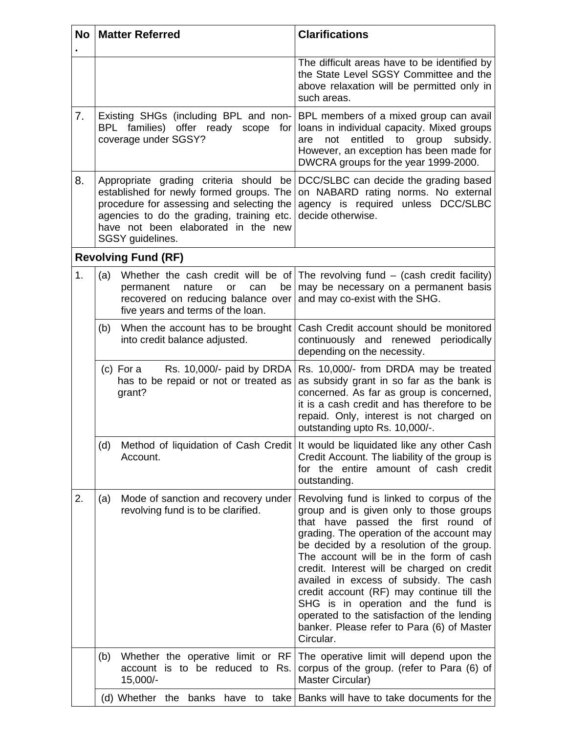| <b>No</b> | <b>Matter Referred</b>                                                                                                                                                                        | <b>Clarifications</b>                                                                                                                                                                                                                                                                                                                                                                                                                                                                                                                                 |  |  |  |  |
|-----------|-----------------------------------------------------------------------------------------------------------------------------------------------------------------------------------------------|-------------------------------------------------------------------------------------------------------------------------------------------------------------------------------------------------------------------------------------------------------------------------------------------------------------------------------------------------------------------------------------------------------------------------------------------------------------------------------------------------------------------------------------------------------|--|--|--|--|
|           |                                                                                                                                                                                               | The difficult areas have to be identified by<br>the State Level SGSY Committee and the<br>above relaxation will be permitted only in<br>such areas.                                                                                                                                                                                                                                                                                                                                                                                                   |  |  |  |  |
| 7.        | BPL families) offer ready scope for<br>coverage under SGSY?                                                                                                                                   | Existing SHGs (including BPL and non- BPL members of a mixed group can avail<br>loans in individual capacity. Mixed groups<br>entitled<br>not<br>to group<br>subsidy.<br>are<br>However, an exception has been made for<br>DWCRA groups for the year 1999-2000.                                                                                                                                                                                                                                                                                       |  |  |  |  |
| 8.        | established for newly formed groups. The<br>procedure for assessing and selecting the<br>agencies to do the grading, training etc.<br>have not been elaborated in the new<br>SGSY guidelines. | Appropriate grading criteria should be DCC/SLBC can decide the grading based<br>on NABARD rating norms. No external<br>agency is required unless DCC/SLBC<br>decide otherwise.                                                                                                                                                                                                                                                                                                                                                                        |  |  |  |  |
|           | <b>Revolving Fund (RF)</b>                                                                                                                                                                    |                                                                                                                                                                                                                                                                                                                                                                                                                                                                                                                                                       |  |  |  |  |
| 1.        | (a)<br>nature<br>or<br>can<br>be<br>permanent<br>recovered on reducing balance over<br>five years and terms of the loan.                                                                      | Whether the cash credit will be of The revolving fund $-$ (cash credit facility)<br>may be necessary on a permanent basis<br>and may co-exist with the SHG.                                                                                                                                                                                                                                                                                                                                                                                           |  |  |  |  |
|           | When the account has to be brought<br>(b)<br>into credit balance adjusted.                                                                                                                    | Cash Credit account should be monitored<br>continuously and renewed periodically<br>depending on the necessity.                                                                                                                                                                                                                                                                                                                                                                                                                                       |  |  |  |  |
|           | (c) For a Rs. $10,000/$ - paid by DRDA<br>has to be repaid or not or treated as<br>grant?                                                                                                     | Rs. 10,000/- from DRDA may be treated<br>as subsidy grant in so far as the bank is<br>concerned. As far as group is concerned,<br>it is a cash credit and has therefore to be<br>repaid. Only, interest is not charged on<br>outstanding upto Rs. 10,000/-.                                                                                                                                                                                                                                                                                           |  |  |  |  |
|           | (d)<br>Account.                                                                                                                                                                               | Method of liquidation of Cash Credit It would be liquidated like any other Cash<br>Credit Account. The liability of the group is<br>for the entire amount of cash credit<br>outstanding.                                                                                                                                                                                                                                                                                                                                                              |  |  |  |  |
| 2.        | Mode of sanction and recovery under<br>(a)<br>revolving fund is to be clarified.                                                                                                              | Revolving fund is linked to corpus of the<br>group and is given only to those groups<br>that have passed the first round of<br>grading. The operation of the account may<br>be decided by a resolution of the group.<br>The account will be in the form of cash<br>credit. Interest will be charged on credit<br>availed in excess of subsidy. The cash<br>credit account (RF) may continue till the<br>SHG is in operation and the fund is<br>operated to the satisfaction of the lending<br>banker. Please refer to Para (6) of Master<br>Circular. |  |  |  |  |
|           | Whether the operative limit or RF<br>(b)<br>account is to be reduced to Rs.<br>15,000/-                                                                                                       | The operative limit will depend upon the<br>corpus of the group. (refer to Para (6) of<br>Master Circular)                                                                                                                                                                                                                                                                                                                                                                                                                                            |  |  |  |  |
|           | (d) Whether the<br>banks<br>have<br>to                                                                                                                                                        | take   Banks will have to take documents for the                                                                                                                                                                                                                                                                                                                                                                                                                                                                                                      |  |  |  |  |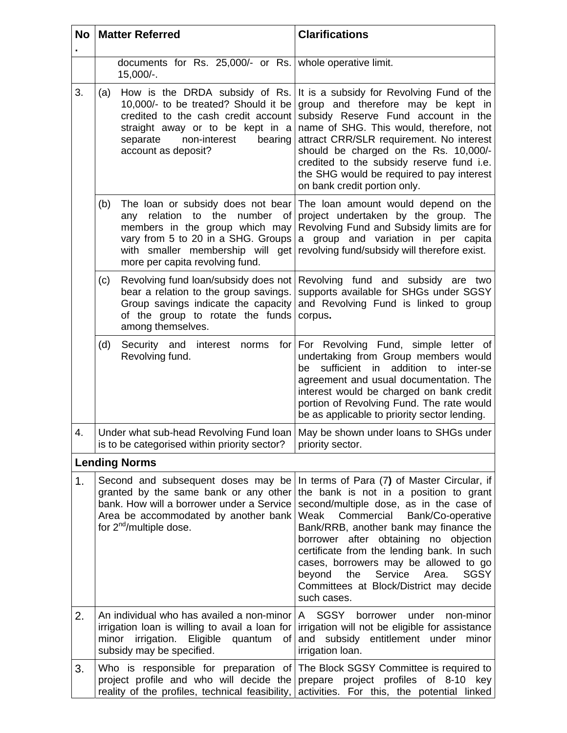| <b>No</b> | <b>Matter Referred</b>                                                                                                                                                                                                                  | <b>Clarifications</b>                                                                                                                                                                                                                                                                                                                                                                                                                                               |  |  |  |  |
|-----------|-----------------------------------------------------------------------------------------------------------------------------------------------------------------------------------------------------------------------------------------|---------------------------------------------------------------------------------------------------------------------------------------------------------------------------------------------------------------------------------------------------------------------------------------------------------------------------------------------------------------------------------------------------------------------------------------------------------------------|--|--|--|--|
|           | documents for Rs. 25,000/- or Rs. whole operative limit.<br>15,000/-.                                                                                                                                                                   |                                                                                                                                                                                                                                                                                                                                                                                                                                                                     |  |  |  |  |
| 3.        | How is the DRDA subsidy of Rs.<br>(a)<br>10,000/- to be treated? Should it be<br>credited to the cash credit account<br>straight away or to be kept in a<br>non-interest<br>separate<br>bearing<br>account as deposit?                  | It is a subsidy for Revolving Fund of the<br>group and therefore may be kept in<br>subsidy Reserve Fund account in the<br>name of SHG. This would, therefore, not<br>attract CRR/SLR requirement. No interest<br>should be charged on the Rs. 10,000/-<br>credited to the subsidy reserve fund i.e.<br>the SHG would be required to pay interest<br>on bank credit portion only.                                                                                    |  |  |  |  |
|           | The loan or subsidy does not bear<br>(b)<br>relation<br>the<br>number<br>to<br>οf<br>any<br>members in the group which may<br>vary from 5 to 20 in a SHG. Groups<br>with smaller membership will get<br>more per capita revolving fund. | The loan amount would depend on the<br>project undertaken by the group. The<br>Revolving Fund and Subsidy limits are for<br>a group and variation in per capita<br>revolving fund/subsidy will therefore exist.                                                                                                                                                                                                                                                     |  |  |  |  |
|           | Revolving fund loan/subsidy does not<br>(c)<br>bear a relation to the group savings.<br>Group savings indicate the capacity<br>of the group to rotate the funds<br>among themselves.                                                    | Revolving fund and subsidy are two<br>supports available for SHGs under SGSY<br>and Revolving Fund is linked to group<br>corpus.                                                                                                                                                                                                                                                                                                                                    |  |  |  |  |
|           | (d)<br>Security and interest<br>norms<br>for<br>Revolving fund.                                                                                                                                                                         | For Revolving Fund, simple letter of<br>undertaking from Group members would<br>sufficient in<br>addition to<br>inter-se<br>be<br>agreement and usual documentation. The<br>interest would be charged on bank credit<br>portion of Revolving Fund. The rate would<br>be as applicable to priority sector lending.                                                                                                                                                   |  |  |  |  |
| 4.        | Under what sub-head Revolving Fund loan<br>is to be categorised within priority sector?                                                                                                                                                 | May be shown under loans to SHGs under<br>priority sector.                                                                                                                                                                                                                                                                                                                                                                                                          |  |  |  |  |
|           | <b>Lending Norms</b>                                                                                                                                                                                                                    |                                                                                                                                                                                                                                                                                                                                                                                                                                                                     |  |  |  |  |
| 1.        | Second and subsequent doses may be<br>granted by the same bank or any other<br>bank. How will a borrower under a Service<br>Area be accommodated by another bank<br>for $2^{nd}/m$ ultiple dose.                                        | In terms of Para (7) of Master Circular, if<br>the bank is not in a position to grant<br>second/multiple dose, as in the case of<br>Commercial<br>Bank/Co-operative<br>Weak<br>Bank/RRB, another bank may finance the<br>borrower after obtaining no objection<br>certificate from the lending bank. In such<br>cases, borrowers may be allowed to go<br>Service<br><b>SGSY</b><br>beyond<br>the<br>Area.<br>Committees at Block/District may decide<br>such cases. |  |  |  |  |
| 2.        | An individual who has availed a non-minor<br>irrigation loan is willing to avail a loan for<br>irrigation. Eligible<br>minor<br>quantum<br>οf<br>subsidy may be specified.                                                              | A SGSY<br>borrower<br>under<br>non-minor<br>irrigation will not be eligible for assistance<br>and<br>subsidy entitlement under<br>minor<br>irrigation loan.                                                                                                                                                                                                                                                                                                         |  |  |  |  |
| 3.        | Who is responsible for preparation of<br>project profile and who will decide the<br>reality of the profiles, technical feasibility,                                                                                                     | The Block SGSY Committee is required to<br>prepare project profiles of 8-10 key<br>activities. For this, the potential linked                                                                                                                                                                                                                                                                                                                                       |  |  |  |  |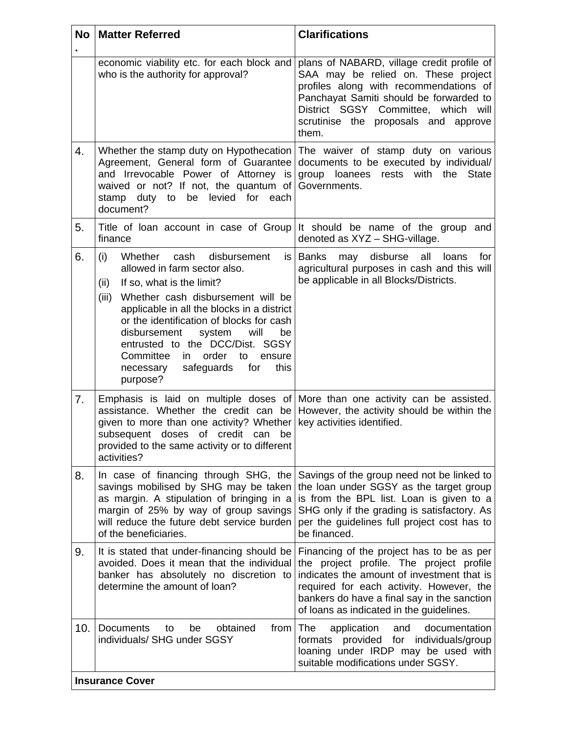| <b>No</b>      | <b>Matter Referred</b>                                                                                                                                                                                                                                                                                                                                                                                                             | <b>Clarifications</b>                                                                                                                                                                                                                                                      |  |  |  |  |  |
|----------------|------------------------------------------------------------------------------------------------------------------------------------------------------------------------------------------------------------------------------------------------------------------------------------------------------------------------------------------------------------------------------------------------------------------------------------|----------------------------------------------------------------------------------------------------------------------------------------------------------------------------------------------------------------------------------------------------------------------------|--|--|--|--|--|
|                | economic viability etc. for each block and<br>who is the authority for approval?                                                                                                                                                                                                                                                                                                                                                   | plans of NABARD, village credit profile of<br>SAA may be relied on. These project<br>profiles along with recommendations of<br>Panchayat Samiti should be forwarded to<br>District SGSY Committee, which will<br>scrutinise the proposals and approve<br>them.             |  |  |  |  |  |
| 4.             | Agreement, General form of Guarantee<br>and Irrevocable Power of Attorney is<br>waived or not? If not, the quantum of<br>be levied for<br>stamp<br>duty to<br>each<br>document?                                                                                                                                                                                                                                                    | Whether the stamp duty on Hypothecation The waiver of stamp duty on various<br>documents to be executed by individual/<br>group loanees rests with<br>the<br><b>State</b><br>Governments.                                                                                  |  |  |  |  |  |
| 5.             | finance                                                                                                                                                                                                                                                                                                                                                                                                                            | Title of loan account in case of Group It should be name of the group and<br>denoted as XYZ - SHG-village.                                                                                                                                                                 |  |  |  |  |  |
| 6.             | Whether cash<br>disbursement<br>(i)<br>is l<br>allowed in farm sector also.<br>If so, what is the limit?<br>(ii)<br>(iii)<br>Whether cash disbursement will be<br>applicable in all the blocks in a district<br>or the identification of blocks for cash<br>disbursement<br>system<br>will<br>be<br>entrusted to the DCC/Dist. SGSY<br>order to<br>Committee<br>in<br>ensure<br>safeguards<br>this<br>for<br>necessary<br>purpose? | Banks<br>may disburse<br>all<br>loans<br>for<br>agricultural purposes in cash and this will<br>be applicable in all Blocks/Districts.                                                                                                                                      |  |  |  |  |  |
| 7 <sub>1</sub> | given to more than one activity? Whether<br>subsequent doses of credit can<br>be<br>provided to the same activity or to different<br>activities?                                                                                                                                                                                                                                                                                   | Emphasis is laid on multiple doses of More than one activity can be assisted.<br>assistance. Whether the credit can be However, the activity should be within the<br>key activities identified.                                                                            |  |  |  |  |  |
| 8.             | In case of financing through SHG, the<br>savings mobilised by SHG may be taken<br>as margin. A stipulation of bringing in a<br>margin of 25% by way of group savings<br>will reduce the future debt service burden<br>of the beneficiaries.                                                                                                                                                                                        | Savings of the group need not be linked to<br>the loan under SGSY as the target group<br>is from the BPL list. Loan is given to a<br>SHG only if the grading is satisfactory. As<br>per the guidelines full project cost has to<br>be financed.                            |  |  |  |  |  |
| 9.             | It is stated that under-financing should be<br>avoided. Does it mean that the individual<br>banker has absolutely no discretion to<br>determine the amount of loan?                                                                                                                                                                                                                                                                | Financing of the project has to be as per<br>the project profile. The project profile<br>indicates the amount of investment that is<br>required for each activity. However, the<br>bankers do have a final say in the sanction<br>of loans as indicated in the guidelines. |  |  |  |  |  |
| 10.            | <b>Documents</b><br>obtained<br>from   The<br>be<br>to<br>individuals/ SHG under SGSY                                                                                                                                                                                                                                                                                                                                              | application<br>documentation<br>and<br>provided for individuals/group<br>formats<br>loaning under IRDP may be used with<br>suitable modifications under SGSY.                                                                                                              |  |  |  |  |  |
|                | <b>Insurance Cover</b>                                                                                                                                                                                                                                                                                                                                                                                                             |                                                                                                                                                                                                                                                                            |  |  |  |  |  |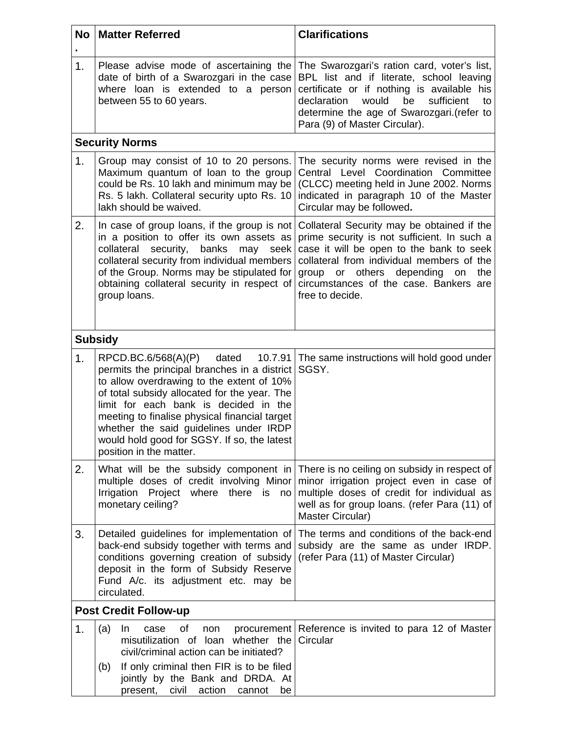| <b>No</b>      | <b>Matter Referred</b>                                                                                                                                                                                                                                                                                                                                                                             | <b>Clarifications</b>                                                                                                                                                                                                                                                                        |  |  |  |  |  |
|----------------|----------------------------------------------------------------------------------------------------------------------------------------------------------------------------------------------------------------------------------------------------------------------------------------------------------------------------------------------------------------------------------------------------|----------------------------------------------------------------------------------------------------------------------------------------------------------------------------------------------------------------------------------------------------------------------------------------------|--|--|--|--|--|
| 1.             | Please advise mode of ascertaining the<br>date of birth of a Swarozgari in the case<br>where loan is extended to a person<br>between 55 to 60 years.                                                                                                                                                                                                                                               | The Swarozgari's ration card, voter's list,<br>BPL list and if literate, school leaving<br>certificate or if nothing is available his<br>declaration<br>would<br>be<br>sufficient<br>to<br>determine the age of Swarozgari.(refer to<br>Para (9) of Master Circular).                        |  |  |  |  |  |
|                | <b>Security Norms</b>                                                                                                                                                                                                                                                                                                                                                                              |                                                                                                                                                                                                                                                                                              |  |  |  |  |  |
| 1.             | Group may consist of 10 to 20 persons.<br>Maximum quantum of loan to the group<br>could be Rs. 10 lakh and minimum may be<br>Rs. 5 lakh. Collateral security upto Rs. 10<br>lakh should be waived.                                                                                                                                                                                                 | The security norms were revised in the<br>Central Level Coordination Committee<br>(CLCC) meeting held in June 2002. Norms<br>indicated in paragraph 10 of the Master<br>Circular may be followed.                                                                                            |  |  |  |  |  |
| 2.             | In case of group loans, if the group is not<br>in a position to offer its own assets as<br>collateral<br>security,<br>banks<br>may<br>seek<br>collateral security from individual members<br>of the Group. Norms may be stipulated for<br>obtaining collateral security in respect of<br>group loans.                                                                                              | Collateral Security may be obtained if the<br>prime security is not sufficient. In such a<br>case it will be open to the bank to seek<br>collateral from individual members of the<br>or others depending<br>group<br>the<br>on<br>circumstances of the case. Bankers are<br>free to decide. |  |  |  |  |  |
|                | <b>Subsidy</b>                                                                                                                                                                                                                                                                                                                                                                                     |                                                                                                                                                                                                                                                                                              |  |  |  |  |  |
| 1 <sub>1</sub> | RPCD.BC.6/568(A)(P)<br>dated<br>10.7.91<br>permits the principal branches in a district<br>to allow overdrawing to the extent of 10%<br>of total subsidy allocated for the year. The<br>limit for each bank is decided in the<br>meeting to finalise physical financial target<br>whether the said guidelines under IRDP<br>would hold good for SGSY. If so, the latest<br>position in the matter. | The same instructions will hold good under<br>SGSY.                                                                                                                                                                                                                                          |  |  |  |  |  |
| 2.             | multiple doses of credit involving Minor<br>Irrigation Project<br>where there is<br>no<br>monetary ceiling?                                                                                                                                                                                                                                                                                        | What will be the subsidy component in There is no ceiling on subsidy in respect of<br>minor irrigation project even in case of<br>multiple doses of credit for individual as<br>well as for group loans. (refer Para (11) of<br>Master Circular)                                             |  |  |  |  |  |
| 3.             | Detailed guidelines for implementation of<br>back-end subsidy together with terms and<br>conditions governing creation of subsidy<br>deposit in the form of Subsidy Reserve<br>Fund A/c. its adjustment etc. may be<br>circulated.                                                                                                                                                                 | The terms and conditions of the back-end<br>subsidy are the same as under IRDP.<br>(refer Para (11) of Master Circular)                                                                                                                                                                      |  |  |  |  |  |
|                | <b>Post Credit Follow-up</b>                                                                                                                                                                                                                                                                                                                                                                       |                                                                                                                                                                                                                                                                                              |  |  |  |  |  |
| 1.             | (a)<br>οf<br>In.<br>case<br>non<br>misutilization of loan whether the<br>civil/criminal action can be initiated?<br>If only criminal then FIR is to be filed<br>(b)<br>jointly by the Bank and DRDA. At<br>present,<br>civil<br>action<br>cannot<br>be                                                                                                                                             | procurement Reference is invited to para 12 of Master<br>Circular                                                                                                                                                                                                                            |  |  |  |  |  |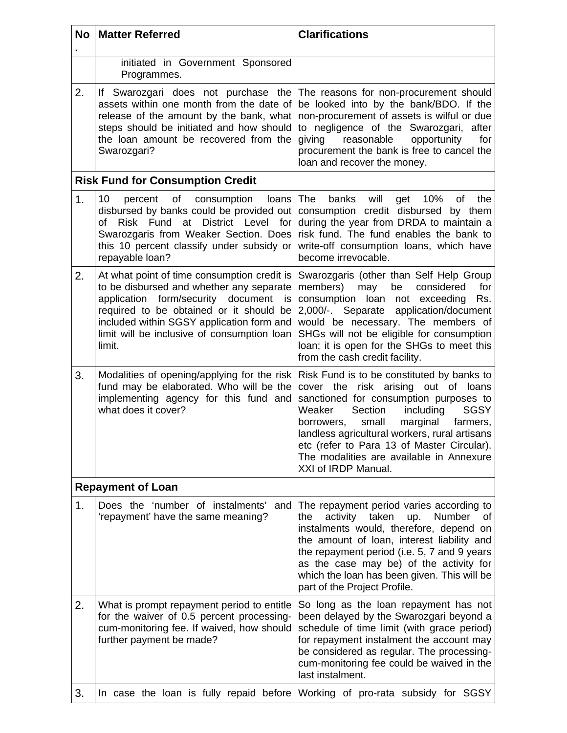| <b>No</b> | <b>Matter Referred</b>                                                                                                                                                                                                                                                               | <b>Clarifications</b>                                                                                                                                                                                                                                                                                                                                                                         |  |  |  |  |  |
|-----------|--------------------------------------------------------------------------------------------------------------------------------------------------------------------------------------------------------------------------------------------------------------------------------------|-----------------------------------------------------------------------------------------------------------------------------------------------------------------------------------------------------------------------------------------------------------------------------------------------------------------------------------------------------------------------------------------------|--|--|--|--|--|
|           | initiated in Government Sponsored<br>Programmes.                                                                                                                                                                                                                                     |                                                                                                                                                                                                                                                                                                                                                                                               |  |  |  |  |  |
| 2.        | If Swarozgari does not purchase the<br>assets within one month from the date of<br>release of the amount by the bank, what<br>steps should be initiated and how should<br>the loan amount be recovered from the<br>Swarozgari?                                                       | The reasons for non-procurement should<br>be looked into by the bank/BDO. If the<br>non-procurement of assets is wilful or due<br>to negligence of the Swarozgari, after<br>reasonable<br>giving<br>opportunity<br>for<br>procurement the bank is free to cancel the<br>loan and recover the money.                                                                                           |  |  |  |  |  |
|           | <b>Risk Fund for Consumption Credit</b>                                                                                                                                                                                                                                              |                                                                                                                                                                                                                                                                                                                                                                                               |  |  |  |  |  |
| 1.        | 10<br>of<br>percent<br>consumption<br>loans<br>disbursed by banks could be provided out<br>Risk Fund at District Level for<br>of<br>Swarozgaris from Weaker Section. Does<br>this 10 percent classify under subsidy or<br>repayable loan?                                            | will<br>10%<br>The<br>banks<br>get<br>οf<br>the<br>consumption credit disbursed by them<br>during the year from DRDA to maintain a<br>risk fund. The fund enables the bank to<br>write-off consumption loans, which have<br>become irrevocable.                                                                                                                                               |  |  |  |  |  |
| 2.        | At what point of time consumption credit is<br>to be disbursed and whether any separate<br>application form/security document<br>is<br>required to be obtained or it should be<br>included within SGSY application form and<br>limit will be inclusive of consumption loan<br>limit. | Swarozgaris (other than Self Help Group<br>members)<br>may<br>be<br>considered<br>for<br>consumption loan not exceeding<br>Rs.<br>2,000/-. Separate application/document<br>would be necessary. The members of<br>SHGs will not be eligible for consumption<br>loan; it is open for the SHGs to meet this<br>from the cash credit facility.                                                   |  |  |  |  |  |
| 3.        | Modalities of opening/applying for the risk<br>fund may be elaborated. Who will be the<br>implementing agency for this fund and<br>what does it cover?                                                                                                                               | Risk Fund is to be constituted by banks to<br>cover the risk arising out of loans<br>sanctioned for consumption purposes to<br>Section<br>including<br><b>SGSY</b><br>Weaker<br>small<br>marginal<br>borrowers.<br>farmers,<br>landless agricultural workers, rural artisans<br>etc (refer to Para 13 of Master Circular).<br>The modalities are available in Annexure<br>XXI of IRDP Manual. |  |  |  |  |  |
|           | <b>Repayment of Loan</b>                                                                                                                                                                                                                                                             |                                                                                                                                                                                                                                                                                                                                                                                               |  |  |  |  |  |
| 1.        | Does the 'number of instalments'<br>and<br>'repayment' have the same meaning?                                                                                                                                                                                                        | The repayment period varies according to<br>activity taken<br><b>Number</b><br>the<br>up.<br>οf<br>instalments would, therefore, depend on<br>the amount of loan, interest liability and<br>the repayment period (i.e. 5, 7 and 9 years<br>as the case may be) of the activity for<br>which the loan has been given. This will be<br>part of the Project Profile.                             |  |  |  |  |  |
| 2.        | What is prompt repayment period to entitle<br>for the waiver of 0.5 percent processing-<br>cum-monitoring fee. If waived, how should<br>further payment be made?                                                                                                                     | So long as the loan repayment has not<br>been delayed by the Swarozgari beyond a<br>schedule of time limit (with grace period)<br>for repayment instalment the account may<br>be considered as regular. The processing-<br>cum-monitoring fee could be waived in the<br>last instalment.                                                                                                      |  |  |  |  |  |
| 3.        | In case the loan is fully repaid before                                                                                                                                                                                                                                              | Working of pro-rata subsidy for SGSY                                                                                                                                                                                                                                                                                                                                                          |  |  |  |  |  |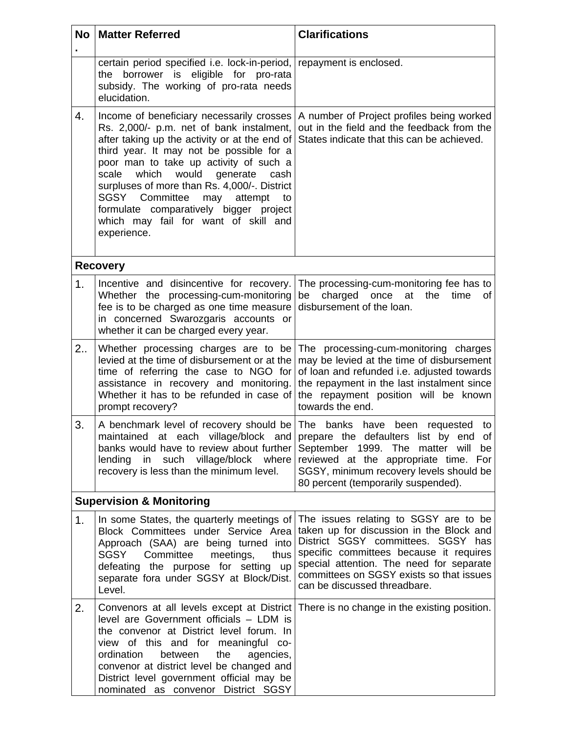| <b>No</b> | <b>Matter Referred</b>                                                                                                                                                                                                                                                                                                                                                                                                                                                 | <b>Clarifications</b>                                                                                                                                                                                                                                                                      |  |  |  |  |
|-----------|------------------------------------------------------------------------------------------------------------------------------------------------------------------------------------------------------------------------------------------------------------------------------------------------------------------------------------------------------------------------------------------------------------------------------------------------------------------------|--------------------------------------------------------------------------------------------------------------------------------------------------------------------------------------------------------------------------------------------------------------------------------------------|--|--|--|--|
|           | certain period specified i.e. lock-in-period,<br>the borrower is eligible for pro-rata<br>subsidy. The working of pro-rata needs<br>elucidation.                                                                                                                                                                                                                                                                                                                       | repayment is enclosed.                                                                                                                                                                                                                                                                     |  |  |  |  |
| 4.        | Income of beneficiary necessarily crosses<br>Rs. 2,000/- p.m. net of bank instalment,<br>after taking up the activity or at the end of<br>third year. It may not be possible for a<br>poor man to take up activity of such a<br>would<br>scale<br>which<br>generate<br>cash<br>surpluses of more than Rs. 4,000/-. District<br>SGSY Committee<br>may<br>attempt<br>to<br>formulate comparatively bigger project<br>which may fail for want of skill and<br>experience. | A number of Project profiles being worked<br>out in the field and the feedback from the<br>States indicate that this can be achieved.                                                                                                                                                      |  |  |  |  |
|           | <b>Recovery</b>                                                                                                                                                                                                                                                                                                                                                                                                                                                        |                                                                                                                                                                                                                                                                                            |  |  |  |  |
| 1.        | Incentive and disincentive for recovery.<br>Whether the processing-cum-monitoring<br>fee is to be charged as one time measure<br>in concerned Swarozgaris accounts or<br>whether it can be charged every year.                                                                                                                                                                                                                                                         | The processing-cum-monitoring fee has to<br>charged once<br>at<br>be<br>the<br>time<br>of<br>disbursement of the loan.                                                                                                                                                                     |  |  |  |  |
| 2.5       | Whether processing charges are to be<br>levied at the time of disbursement or at the<br>time of referring the case to NGO for<br>assistance in recovery and monitoring.<br>Whether it has to be refunded in case of<br>prompt recovery?                                                                                                                                                                                                                                | The processing-cum-monitoring charges<br>may be levied at the time of disbursement<br>of loan and refunded i.e. adjusted towards<br>the repayment in the last instalment since<br>the repayment position will be known<br>towards the end.                                                 |  |  |  |  |
| 3.        | A benchmark level of recovery should be The<br>maintained at each village/block and prepare the defaulters list by end<br>banks would have to review about further<br>lending<br>in such village/block where<br>recovery is less than the minimum level.                                                                                                                                                                                                               | banks have been<br>requested<br>to<br>of <sub>l</sub><br>September 1999. The matter will<br>be<br>reviewed at the appropriate time. For<br>SGSY, minimum recovery levels should be<br>80 percent (temporarily suspended).                                                                  |  |  |  |  |
|           | <b>Supervision &amp; Monitoring</b>                                                                                                                                                                                                                                                                                                                                                                                                                                    |                                                                                                                                                                                                                                                                                            |  |  |  |  |
| 1.        | In some States, the quarterly meetings of<br>Block Committees under Service Area<br>Approach (SAA) are being turned into<br>SGSY<br>Committee<br>meetings,<br>thus<br>defeating the purpose for setting up<br>separate fora under SGSY at Block/Dist.<br>Level.                                                                                                                                                                                                        | The issues relating to SGSY are to be<br>taken up for discussion in the Block and<br>District SGSY committees. SGSY has<br>specific committees because it requires<br>special attention. The need for separate<br>committees on SGSY exists so that issues<br>can be discussed threadbare. |  |  |  |  |
| 2.        | Convenors at all levels except at District<br>level are Government officials - LDM is<br>the convenor at District level forum. In<br>view of this and for meaningful co-<br>ordination<br>between<br>the<br>agencies,<br>convenor at district level be changed and<br>District level government official may be<br>nominated as convenor District SGSY                                                                                                                 | There is no change in the existing position.                                                                                                                                                                                                                                               |  |  |  |  |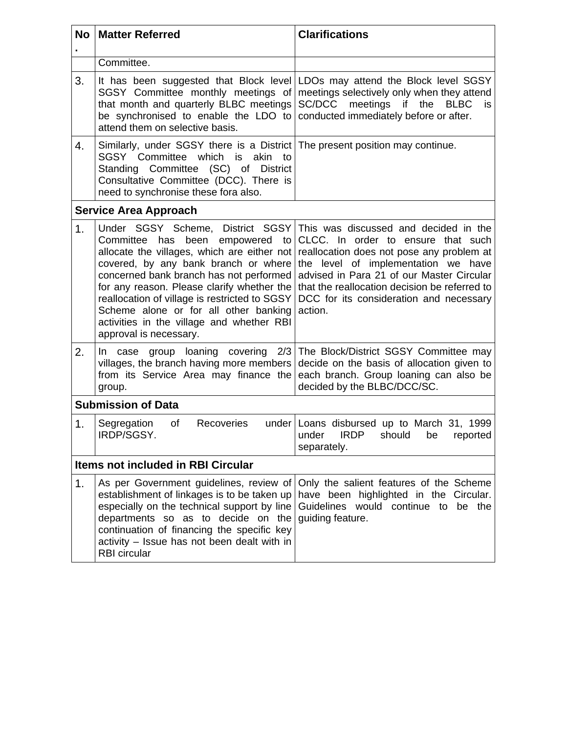| <b>No</b>      | <b>Matter Referred</b>                                                                                                                                                                                                                                                                                                                                                                                                  | <b>Clarifications</b>                                                                                                                                                                                                                                                                                               |  |  |  |  |  |
|----------------|-------------------------------------------------------------------------------------------------------------------------------------------------------------------------------------------------------------------------------------------------------------------------------------------------------------------------------------------------------------------------------------------------------------------------|---------------------------------------------------------------------------------------------------------------------------------------------------------------------------------------------------------------------------------------------------------------------------------------------------------------------|--|--|--|--|--|
|                | Committee.                                                                                                                                                                                                                                                                                                                                                                                                              |                                                                                                                                                                                                                                                                                                                     |  |  |  |  |  |
| 3.             | It has been suggested that Block level<br>SGSY Committee monthly meetings of<br>that month and quarterly BLBC meetings<br>be synchronised to enable the LDO to<br>attend them on selective basis.                                                                                                                                                                                                                       | LDOs may attend the Block level SGSY<br>meetings selectively only when they attend<br>SC/DCC<br>meetings<br>if<br>the<br><b>BLBC</b><br>is.<br>conducted immediately before or after.                                                                                                                               |  |  |  |  |  |
| 4.             | Similarly, under SGSY there is a District The present position may continue.<br>SGSY Committee which is akin<br>to<br>Standing Committee (SC) of District<br>Consultative Committee (DCC). There is<br>need to synchronise these fora also.                                                                                                                                                                             |                                                                                                                                                                                                                                                                                                                     |  |  |  |  |  |
|                | <b>Service Area Approach</b>                                                                                                                                                                                                                                                                                                                                                                                            |                                                                                                                                                                                                                                                                                                                     |  |  |  |  |  |
| 1 <sub>1</sub> | Under SGSY Scheme, District SGSY<br>Committee has<br>been empowered to<br>allocate the villages, which are either not<br>covered, by any bank branch or where<br>concerned bank branch has not performed<br>for any reason. Please clarify whether the<br>reallocation of village is restricted to SGSY<br>Scheme alone or for all other banking<br>activities in the village and whether RBI<br>approval is necessary. | This was discussed and decided in the<br>CLCC. In order to ensure that such<br>reallocation does not pose any problem at<br>the level of implementation we have<br>advised in Para 21 of our Master Circular<br>that the reallocation decision be referred to<br>DCC for its consideration and necessary<br>action. |  |  |  |  |  |
| 2.             | In case group loaning<br>The Block/District SGSY Committee may<br>covering 2/3<br>villages, the branch having more members<br>decide on the basis of allocation given to<br>from its Service Area may finance the<br>each branch. Group loaning can also be<br>decided by the BLBC/DCC/SC.<br>group.                                                                                                                    |                                                                                                                                                                                                                                                                                                                     |  |  |  |  |  |
|                | <b>Submission of Data</b>                                                                                                                                                                                                                                                                                                                                                                                               |                                                                                                                                                                                                                                                                                                                     |  |  |  |  |  |
| 1.             | Recoveries<br>Segregation<br>of<br>IRDP/SGSY.                                                                                                                                                                                                                                                                                                                                                                           | under Loans disbursed up to March 31, 1999<br><b>IRDP</b><br>should<br>under<br>be<br>reported<br>separately.                                                                                                                                                                                                       |  |  |  |  |  |
|                | <b>Items not included in RBI Circular</b>                                                                                                                                                                                                                                                                                                                                                                               |                                                                                                                                                                                                                                                                                                                     |  |  |  |  |  |
| 1.             | As per Government guidelines, review of<br>establishment of linkages is to be taken up<br>especially on the technical support by line<br>departments so as to decide on the<br>continuation of financing the specific key<br>activity - Issue has not been dealt with in<br><b>RBI</b> circular                                                                                                                         | Only the salient features of the Scheme<br>have been highlighted in the Circular.<br>Guidelines would continue to be the<br>guiding feature.                                                                                                                                                                        |  |  |  |  |  |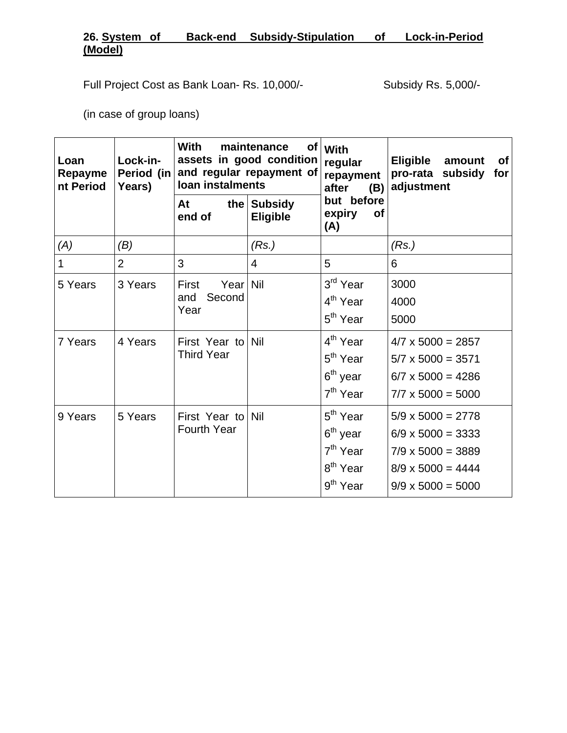# **26. System of Back-end Subsidy-Stipulation of Lock-in-Period (Model)**

Full Project Cost as Bank Loan- Rs. 10,000/-<br>Subsidy Rs. 5,000/-

(in case of group loans)

| Loan<br>Repayme<br>nt Period | Lock-in-<br>Period (in<br>Years) | <b>With</b><br>loan instalments         | maintenance<br>assets in good condition<br>and regular repayment of | of   With<br>regular<br>repayment<br>after<br>(B)                                                                    | <b>Eligible</b><br>amount<br><b>of</b><br>pro-rata subsidy<br>for<br>adjustment                                                          |  |  |  |
|------------------------------|----------------------------------|-----------------------------------------|---------------------------------------------------------------------|----------------------------------------------------------------------------------------------------------------------|------------------------------------------------------------------------------------------------------------------------------------------|--|--|--|
|                              |                                  | At<br>end of                            | the Subsidy<br><b>Eligible</b>                                      | but before<br>expiry<br><b>of</b><br>(A)                                                                             |                                                                                                                                          |  |  |  |
| (A)                          | (B)                              |                                         | (Rs.)                                                               |                                                                                                                      | (Rs.)                                                                                                                                    |  |  |  |
| 1                            | $\overline{2}$                   | 3                                       | 4                                                                   | 5                                                                                                                    | 6                                                                                                                                        |  |  |  |
| 5 Years                      | 3 Years                          | Yearl<br>First<br>Second<br>and<br>Year | Nil                                                                 | 3 <sup>rd</sup> Year<br>4 <sup>th</sup> Year<br>5 <sup>th</sup> Year                                                 | 3000<br>4000<br>5000                                                                                                                     |  |  |  |
| 7 Years                      | 4 Years                          | First Year to Nil<br><b>Third Year</b>  |                                                                     | 4 <sup>th</sup> Year<br>5 <sup>th</sup> Year<br>6 <sup>th</sup> year<br>7 <sup>th</sup> Year                         | $4/7 \times 5000 = 2857$<br>$5/7 \times 5000 = 3571$<br>$6/7 \times 5000 = 4286$<br>$7/7 \times 5000 = 5000$                             |  |  |  |
| 9 Years                      | 5 Years                          | First Year to<br><b>Fourth Year</b>     | Nil                                                                 | 5 <sup>th</sup> Year<br>6 <sup>th</sup> year<br>7 <sup>th</sup> Year<br>8 <sup>th</sup> Year<br>9 <sup>th</sup> Year | $5/9 \times 5000 = 2778$<br>$6/9 \times 5000 = 3333$<br>$7/9 \times 5000 = 3889$<br>$8/9 \times 5000 = 4444$<br>$9/9 \times 5000 = 5000$ |  |  |  |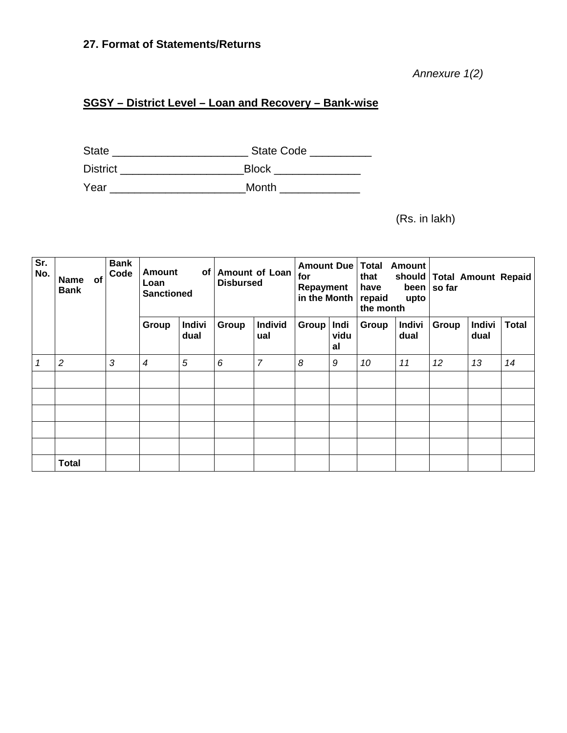# **27. Format of Statements/Returns**

*Annexure 1(2)* 

# **SGSY – District Level – Loan and Recovery – Bank-wise**

State \_\_\_\_\_\_\_\_\_\_\_\_\_\_\_\_\_\_\_\_\_\_ State Code \_\_\_\_\_\_\_\_\_\_ District \_\_\_\_\_\_\_\_\_\_\_\_\_\_\_\_\_\_\_\_\_\_\_\_\_\_\_\_\_\_\_Block \_\_\_\_\_\_\_\_\_\_\_\_\_\_\_\_\_\_\_\_\_\_\_\_\_\_\_\_\_\_\_\_\_\_ Year \_\_\_\_\_\_\_\_\_\_\_\_\_\_\_\_\_\_\_\_\_\_Month \_\_\_\_\_\_\_\_\_\_\_\_\_

(Rs. in lakh)

| Sr.<br>No. | <b>of</b><br><b>Name</b><br><b>Bank</b> | <b>Bank</b><br>Code | <b>Amount</b><br>Loan<br><b>Sanctioned</b> | of                    | <b>Amount of Loan</b><br><b>Disbursed</b> |                | Amount Due<br>for<br>Repayment<br>in the Month |                    | <b>Total</b><br><b>Amount</b><br>that<br>have<br>repaid<br>upto<br>the month |                       | should   Total Amount Repaid<br>been   so far |                       |              |
|------------|-----------------------------------------|---------------------|--------------------------------------------|-----------------------|-------------------------------------------|----------------|------------------------------------------------|--------------------|------------------------------------------------------------------------------|-----------------------|-----------------------------------------------|-----------------------|--------------|
|            |                                         |                     | Group                                      | <b>Indivi</b><br>dual | Group                                     | Individ<br>ual | Group                                          | Indi<br>vidu<br>al | Group                                                                        | <b>Indivi</b><br>dual | Group                                         | <b>Indivi</b><br>dual | <b>Total</b> |
|            | $\overline{c}$                          | 3                   | 4                                          | 5                     | 6                                         | $\overline{7}$ | 8                                              | 9                  | 10                                                                           | 11                    | 12                                            | 13                    | 14           |
|            |                                         |                     |                                            |                       |                                           |                |                                                |                    |                                                                              |                       |                                               |                       |              |
|            |                                         |                     |                                            |                       |                                           |                |                                                |                    |                                                                              |                       |                                               |                       |              |
|            |                                         |                     |                                            |                       |                                           |                |                                                |                    |                                                                              |                       |                                               |                       |              |
|            |                                         |                     |                                            |                       |                                           |                |                                                |                    |                                                                              |                       |                                               |                       |              |
|            |                                         |                     |                                            |                       |                                           |                |                                                |                    |                                                                              |                       |                                               |                       |              |
|            | <b>Total</b>                            |                     |                                            |                       |                                           |                |                                                |                    |                                                                              |                       |                                               |                       |              |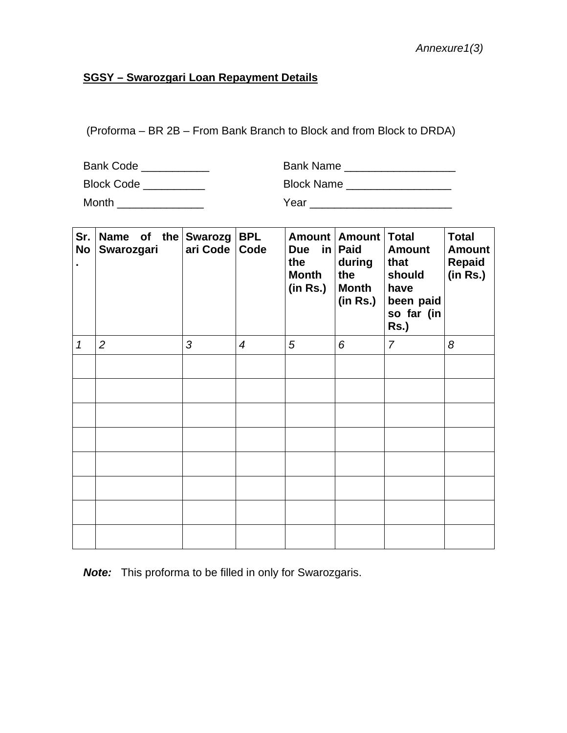# **SGSY – Swarozgari Loan Repayment Details**

(Proforma – BR 2B – From Bank Branch to Block and from Block to DRDA)

Bank Code \_\_\_\_\_\_\_\_\_\_\_ Bank Name \_\_\_\_\_\_\_\_\_\_\_\_\_\_\_\_\_\_

Block Code \_\_\_\_\_\_\_\_\_\_ Block Name \_\_\_\_\_\_\_\_\_\_\_\_\_\_\_\_\_

Month \_\_\_\_\_\_\_\_\_\_\_\_\_\_ Year \_\_\_\_\_\_\_\_\_\_\_\_\_\_\_\_\_\_\_\_\_\_\_

| Sr.<br>No<br>$\blacksquare$ | Name of the Swarozg<br>Swarozgari | ari Code | <b>BPL</b><br>Code | Due in Paid<br>the<br><b>Month</b><br>(in Rs.) | Amount   Amount  <br>during<br>the<br><b>Month</b><br>(in Rs.) | <b>Total</b><br><b>Amount</b><br>that<br>should<br>have<br>been paid<br>so far (in<br>Rs.) | <b>Total</b><br><b>Amount</b><br><b>Repaid</b><br>(in Rs.) |
|-----------------------------|-----------------------------------|----------|--------------------|------------------------------------------------|----------------------------------------------------------------|--------------------------------------------------------------------------------------------|------------------------------------------------------------|
| $\mathcal I$                | $\overline{2}$                    | 3        | $\overline{4}$     | 5                                              | 6                                                              | $\overline{7}$                                                                             | 8                                                          |
|                             |                                   |          |                    |                                                |                                                                |                                                                                            |                                                            |
|                             |                                   |          |                    |                                                |                                                                |                                                                                            |                                                            |
|                             |                                   |          |                    |                                                |                                                                |                                                                                            |                                                            |
|                             |                                   |          |                    |                                                |                                                                |                                                                                            |                                                            |
|                             |                                   |          |                    |                                                |                                                                |                                                                                            |                                                            |
|                             |                                   |          |                    |                                                |                                                                |                                                                                            |                                                            |
|                             |                                   |          |                    |                                                |                                                                |                                                                                            |                                                            |
|                             |                                   |          |                    |                                                |                                                                |                                                                                            |                                                            |

*Note:* This proforma to be filled in only for Swarozgaris.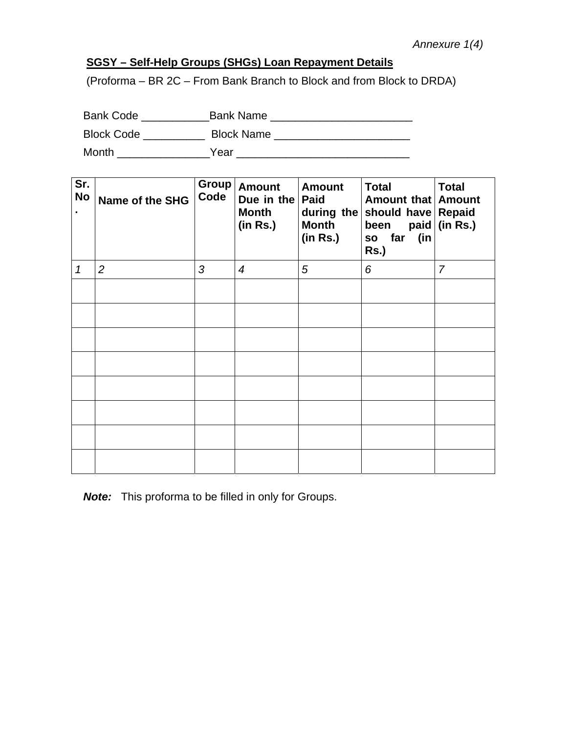# **SGSY – Self-Help Groups (SHGs) Loan Repayment Details**

(Proforma – BR 2C – From Bank Branch to Block and from Block to DRDA)

| <b>Bank Code</b>  | <b>Bank Name</b>  |
|-------------------|-------------------|
| <b>Block Code</b> | <b>Block Name</b> |
| Month             | Year              |

| Sr.<br><b>No</b> | <b>Name of the SHG</b> | Code | Group   Amount<br>Due in the<br><b>Month</b><br>(in Rs.) | <b>Amount</b><br><b>Paid</b><br><b>Month</b><br>(in Rs.) | <b>Total</b><br>Amount that   Amount<br>during the should have Repaid<br>paid<br>been<br>(in<br>so far<br>$Rs.$ ) | <b>Total</b><br>(in Rs.) |
|------------------|------------------------|------|----------------------------------------------------------|----------------------------------------------------------|-------------------------------------------------------------------------------------------------------------------|--------------------------|
| 1                | $\overline{2}$         | 3    | $\boldsymbol{4}$                                         | 5                                                        | 6                                                                                                                 | $\overline{7}$           |
|                  |                        |      |                                                          |                                                          |                                                                                                                   |                          |
|                  |                        |      |                                                          |                                                          |                                                                                                                   |                          |
|                  |                        |      |                                                          |                                                          |                                                                                                                   |                          |
|                  |                        |      |                                                          |                                                          |                                                                                                                   |                          |
|                  |                        |      |                                                          |                                                          |                                                                                                                   |                          |
|                  |                        |      |                                                          |                                                          |                                                                                                                   |                          |
|                  |                        |      |                                                          |                                                          |                                                                                                                   |                          |
|                  |                        |      |                                                          |                                                          |                                                                                                                   |                          |

*Note:* This proforma to be filled in only for Groups.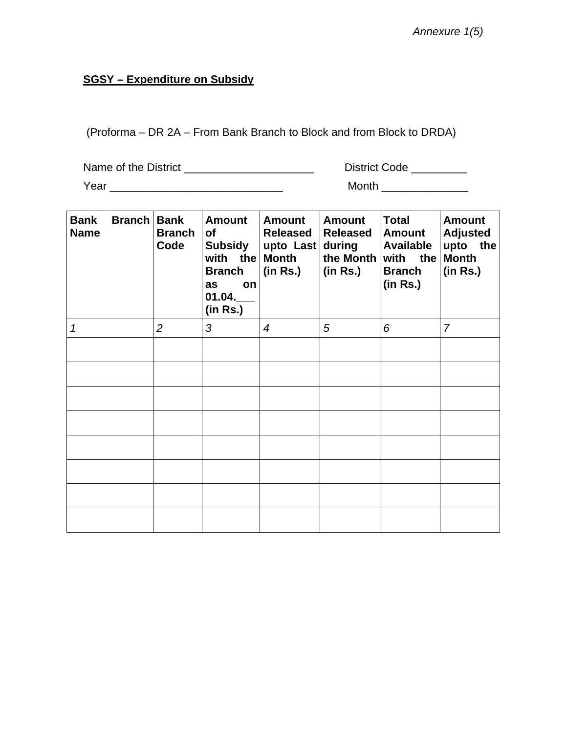# **SGSY – Expenditure on Subsidy**

(Proforma – DR 2A – From Bank Branch to Block and from Block to DRDA)

| Name of the District | <b>District Code</b> |
|----------------------|----------------------|
| Year                 | Month                |

| <b>Bank</b><br><b>Name</b> | <b>Branch</b> | <b>Bank</b><br><b>Branch</b><br>Code | <b>Amount</b><br>of<br><b>Subsidy</b><br>with the<br><b>Branch</b><br>on<br>as<br>01.04.<br>(in Rs.) | <b>Amount</b><br>Released<br>upto Last during<br><b>Month</b><br>(in Rs.) | <b>Amount</b><br><b>Released</b><br>the Month<br>(in Rs.) | <b>Total</b><br><b>Amount</b><br><b>Available</b><br>with the<br><b>Branch</b><br>(in Rs.) | <b>Amount</b><br><b>Adjusted</b><br>the<br>upto<br><b>Month</b><br>(in Rs.) |
|----------------------------|---------------|--------------------------------------|------------------------------------------------------------------------------------------------------|---------------------------------------------------------------------------|-----------------------------------------------------------|--------------------------------------------------------------------------------------------|-----------------------------------------------------------------------------|
| 1                          |               | $\overline{2}$                       | 3                                                                                                    | $\overline{4}$                                                            | 5                                                         | 6                                                                                          | $\overline{7}$                                                              |
|                            |               |                                      |                                                                                                      |                                                                           |                                                           |                                                                                            |                                                                             |
|                            |               |                                      |                                                                                                      |                                                                           |                                                           |                                                                                            |                                                                             |
|                            |               |                                      |                                                                                                      |                                                                           |                                                           |                                                                                            |                                                                             |
|                            |               |                                      |                                                                                                      |                                                                           |                                                           |                                                                                            |                                                                             |
|                            |               |                                      |                                                                                                      |                                                                           |                                                           |                                                                                            |                                                                             |
|                            |               |                                      |                                                                                                      |                                                                           |                                                           |                                                                                            |                                                                             |
|                            |               |                                      |                                                                                                      |                                                                           |                                                           |                                                                                            |                                                                             |
|                            |               |                                      |                                                                                                      |                                                                           |                                                           |                                                                                            |                                                                             |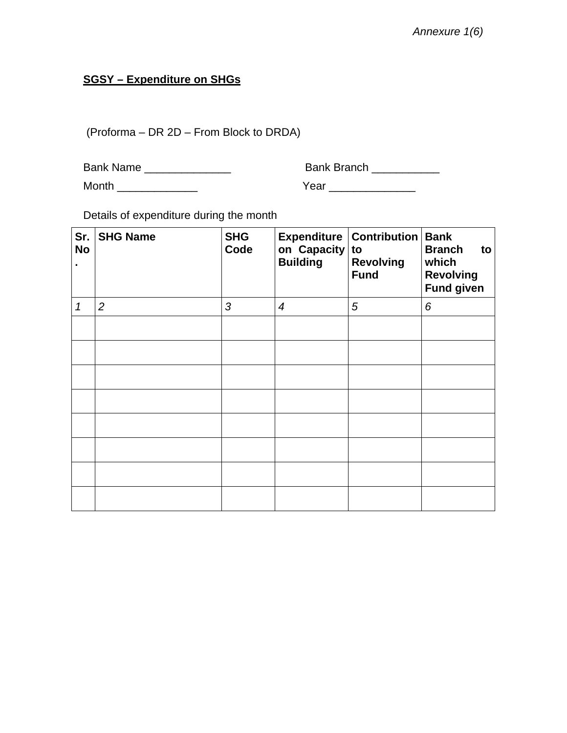# **SGSY – Expenditure on SHGs**

(Proforma – DR 2D – From Block to DRDA)

| <b>Bank Name</b> |  |
|------------------|--|
|------------------|--|

Bank Branch \_\_\_\_\_\_\_\_\_\_\_\_

Month \_\_\_\_\_\_\_\_\_\_\_\_\_ Year \_\_\_\_\_\_\_\_\_\_\_\_\_\_

Details of expenditure during the month

| Sr.<br><b>No</b><br>٠ | <b>SHG Name</b> | <b>Expenditure   Contribution   Bank</b><br><b>SHG</b><br>on Capacity<br>Code<br>to<br><b>Building</b><br><b>Revolving</b><br><b>Fund</b> |                  |   |   |  |  |  |  |
|-----------------------|-----------------|-------------------------------------------------------------------------------------------------------------------------------------------|------------------|---|---|--|--|--|--|
| 1                     | 2               | 3                                                                                                                                         | $\boldsymbol{4}$ | 5 | 6 |  |  |  |  |
|                       |                 |                                                                                                                                           |                  |   |   |  |  |  |  |
|                       |                 |                                                                                                                                           |                  |   |   |  |  |  |  |
|                       |                 |                                                                                                                                           |                  |   |   |  |  |  |  |
|                       |                 |                                                                                                                                           |                  |   |   |  |  |  |  |
|                       |                 |                                                                                                                                           |                  |   |   |  |  |  |  |
|                       |                 |                                                                                                                                           |                  |   |   |  |  |  |  |
|                       |                 |                                                                                                                                           |                  |   |   |  |  |  |  |
|                       |                 |                                                                                                                                           |                  |   |   |  |  |  |  |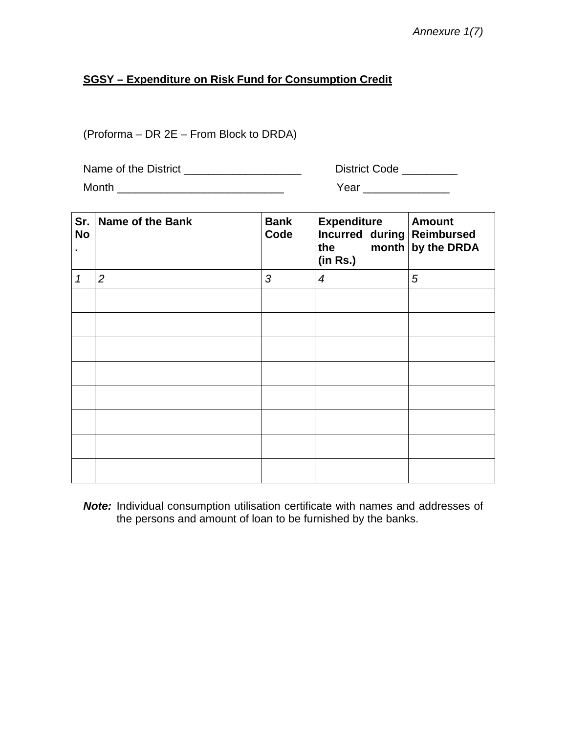*Annexure 1(7)* 

# **SGSY – Expenditure on Risk Fund for Consumption Credit**

(Proforma – DR 2E – From Block to DRDA)

| Name of the District | <b>District Code</b> |
|----------------------|----------------------|
| Month                | Year                 |

| Sr.<br><b>No</b> | <b>Name of the Bank</b> | <b>Bank</b><br>Code | <b>Expenditure</b><br>Incurred during Reimbursed<br>the month by the DRDA<br>(in Rs.) | <b>Amount</b> |
|------------------|-------------------------|---------------------|---------------------------------------------------------------------------------------|---------------|
| 1                | $\overline{2}$          | 3                   | $\boldsymbol{4}$                                                                      | 5             |
|                  |                         |                     |                                                                                       |               |
|                  |                         |                     |                                                                                       |               |
|                  |                         |                     |                                                                                       |               |
|                  |                         |                     |                                                                                       |               |
|                  |                         |                     |                                                                                       |               |
|                  |                         |                     |                                                                                       |               |
|                  |                         |                     |                                                                                       |               |
|                  |                         |                     |                                                                                       |               |

*Note:* Individual consumption utilisation certificate with names and addresses of the persons and amount of loan to be furnished by the banks.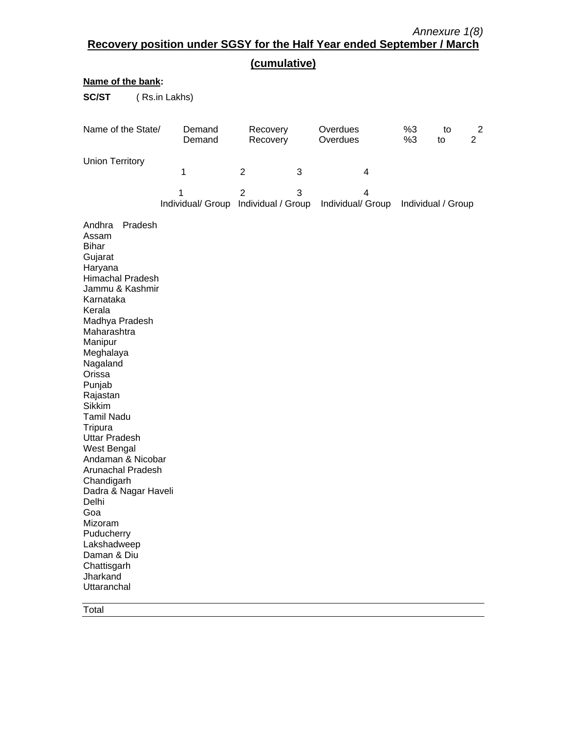| (cumulative)                                                                                                                                                                                                                                                                                                                                                                                                                                                                                                                        |                                           |                      |                                           |          |          |                                  |  |  |  |  |  |  |
|-------------------------------------------------------------------------------------------------------------------------------------------------------------------------------------------------------------------------------------------------------------------------------------------------------------------------------------------------------------------------------------------------------------------------------------------------------------------------------------------------------------------------------------|-------------------------------------------|----------------------|-------------------------------------------|----------|----------|----------------------------------|--|--|--|--|--|--|
| Name of the bank:                                                                                                                                                                                                                                                                                                                                                                                                                                                                                                                   |                                           |                      |                                           |          |          |                                  |  |  |  |  |  |  |
| <b>SC/ST</b>                                                                                                                                                                                                                                                                                                                                                                                                                                                                                                                        | (Rs.in Lakhs)                             |                      |                                           |          |          |                                  |  |  |  |  |  |  |
| Name of the State/                                                                                                                                                                                                                                                                                                                                                                                                                                                                                                                  | Demand<br>Demand                          | Recovery<br>Recovery | Overdues<br>Overdues                      | %3<br>%3 | to<br>to | $\overline{2}$<br>$\overline{2}$ |  |  |  |  |  |  |
| <b>Union Territory</b>                                                                                                                                                                                                                                                                                                                                                                                                                                                                                                              | 1                                         | 2<br>3               | 4                                         |          |          |                                  |  |  |  |  |  |  |
|                                                                                                                                                                                                                                                                                                                                                                                                                                                                                                                                     | 1<br>Individual/ Group Individual / Group | $\overline{2}$<br>3  | 4<br>Individual/ Group Individual / Group |          |          |                                  |  |  |  |  |  |  |
| Pradesh<br>Andhra<br>Assam<br><b>Bihar</b><br>Gujarat<br>Haryana<br>Himachal Pradesh<br>Jammu & Kashmir<br>Karnataka<br>Kerala<br>Madhya Pradesh<br>Maharashtra<br>Manipur<br>Meghalaya<br>Nagaland<br>Orissa<br>Punjab<br>Rajastan<br><b>Sikkim</b><br><b>Tamil Nadu</b><br>Tripura<br><b>Uttar Pradesh</b><br>West Bengal<br>Andaman & Nicobar<br>Arunachal Pradesh<br>Chandigarh<br>Dadra & Nagar Haveli<br><b>Delhi</b><br>Goa<br>Mizoram<br>Puducherry<br>Lakshadweep<br>Daman & Diu<br>Chattisgarh<br>Jharkand<br>Uttaranchal |                                           |                      |                                           |          |          |                                  |  |  |  |  |  |  |

Total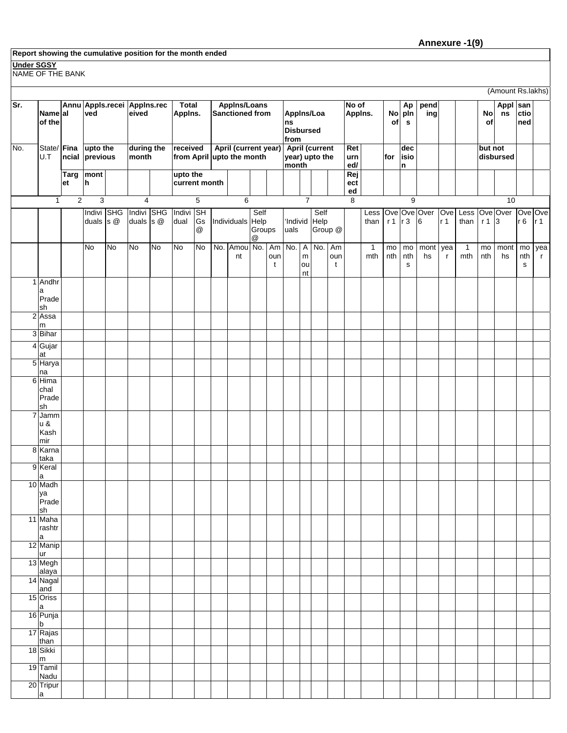#### **Report showing the cumulative position for the month ended**

#### **Under SGSY**

NAME OF THE BANK

|                |                                         |             |                                    |    |                             |           |                           |                                              |                                                   |                     |                |                                                  |                                        |                                  |                           |                  |                     |                  |                                     |                   |                       |                     |           | (Amount Rs.lakhs) |                          |                     |
|----------------|-----------------------------------------|-------------|------------------------------------|----|-----------------------------|-----------|---------------------------|----------------------------------------------|---------------------------------------------------|---------------------|----------------|--------------------------------------------------|----------------------------------------|----------------------------------|---------------------------|------------------|---------------------|------------------|-------------------------------------|-------------------|-----------------------|---------------------|-----------|-------------------|--------------------------|---------------------|
| Sr.            | Namelal<br>of the                       |             | Annu Appls.recei Applns.rec<br>ved |    | eived                       |           | <b>Total</b><br>Applns.   |                                              | <b>Applns/Loans</b><br>Sanctioned from            |                     |                | ns                                               | Appins/Loa<br><b>Disbursed</b><br>from |                                  |                           | No of            | Appins.             |                  | Ap<br>No pln<br>$\mathbf s$         | pend<br>ing       |                       |                     | No<br>of  | Appl san<br>ns    | ctio<br>ned              |                     |
| No.            | State/ Fina<br>U.T                      | ncial       | upto the<br>previous               |    | during the<br>month         |           | received                  |                                              | April (current year)<br>from April upto the month |                     |                | <b>April (current</b><br>year) upto the<br>month |                                        |                                  | Ret<br>urn<br>ed/         |                  | for                 | dec<br>isio<br>n |                                     |                   |                       | but not             | disbursed |                   |                          |                     |
|                |                                         | Targ<br>et  | mont<br>h                          |    |                             |           | upto the<br>current month |                                              |                                                   |                     |                |                                                  |                                        |                                  |                           | Rej<br>ect<br>ed |                     |                  |                                     |                   |                       |                     |           |                   |                          |                     |
|                | $\mathbf{1}$                            | $\mathbf 2$ | $\mathsf 3$                        |    | 4                           |           |                           | 5                                            | 6                                                 |                     |                |                                                  | $\overline{7}$                         |                                  |                           | 8                |                     |                  | 9                                   |                   |                       |                     |           | 10                |                          |                     |
|                |                                         |             | Indivi SHG<br>duals $s$ $@$        |    | Indivi SHG<br>duals $s$ $@$ |           | Indivi<br>dual            | <b>SH</b><br>Gs<br>$^\text{\textregistered}$ | Individuals Help                                  | Self<br>Groups<br>@ |                | uals                                             |                                        | Self<br>'Individ Help<br>Group @ |                           |                  | Less<br>than        | r 1              | r3                                  | Ove Ove Over<br>6 | Ove<br>r <sub>1</sub> | Less<br>than        | r13       | Ove Over          | Ove Ove<br>r6            | r <sub>1</sub>      |
|                |                                         |             | <b>No</b>                          | No | <b>No</b>                   | <b>No</b> | <b>No</b>                 | ρ                                            | No. Amou No.<br>nt                                |                     | Am<br>oun<br>t |                                                  | ${\sf m}$<br>ou<br>nt                  | No. A No.                        | Am<br>oun<br>$\mathbf{t}$ |                  | $\mathbf{1}$<br>mth | mo<br>nth        | $\mathsf{mo}$<br>nth<br>$\mathbf S$ | mont<br>hs        | yea<br>$\mathsf{r}$   | $\mathbf{1}$<br>mth | mo<br>nth | mont<br>hs        | mo<br>nth<br>$\mathbf s$ | yea<br>$\mathbf{r}$ |
|                | 1 Andhr<br>a<br>Prade                   |             |                                    |    |                             |           |                           |                                              |                                                   |                     |                |                                                  |                                        |                                  |                           |                  |                     |                  |                                     |                   |                       |                     |           |                   |                          |                     |
| $\overline{2}$ | sh<br>Assa<br>m                         |             |                                    |    |                             |           |                           |                                              |                                                   |                     |                |                                                  |                                        |                                  |                           |                  |                     |                  |                                     |                   |                       |                     |           |                   |                          |                     |
|                | 3 Bihar                                 |             |                                    |    |                             |           |                           |                                              |                                                   |                     |                |                                                  |                                        |                                  |                           |                  |                     |                  |                                     |                   |                       |                     |           |                   |                          |                     |
|                | 4 Gujar<br>at                           |             |                                    |    |                             |           |                           |                                              |                                                   |                     |                |                                                  |                                        |                                  |                           |                  |                     |                  |                                     |                   |                       |                     |           |                   |                          |                     |
|                | 5 Harya<br>na                           |             |                                    |    |                             |           |                           |                                              |                                                   |                     |                |                                                  |                                        |                                  |                           |                  |                     |                  |                                     |                   |                       |                     |           |                   |                          |                     |
| 6              | Hima<br>chal                            |             |                                    |    |                             |           |                           |                                              |                                                   |                     |                |                                                  |                                        |                                  |                           |                  |                     |                  |                                     |                   |                       |                     |           |                   |                          |                     |
|                | Prade<br>sh                             |             |                                    |    |                             |           |                           |                                              |                                                   |                     |                |                                                  |                                        |                                  |                           |                  |                     |                  |                                     |                   |                       |                     |           |                   |                          |                     |
| 7              | Jamm<br>u &<br>Kash<br>mir              |             |                                    |    |                             |           |                           |                                              |                                                   |                     |                |                                                  |                                        |                                  |                           |                  |                     |                  |                                     |                   |                       |                     |           |                   |                          |                     |
|                | 8 Karna                                 |             |                                    |    |                             |           |                           |                                              |                                                   |                     |                |                                                  |                                        |                                  |                           |                  |                     |                  |                                     |                   |                       |                     |           |                   |                          |                     |
|                | taka<br>9 Keral<br>a                    |             |                                    |    |                             |           |                           |                                              |                                                   |                     |                |                                                  |                                        |                                  |                           |                  |                     |                  |                                     |                   |                       |                     |           |                   |                          |                     |
|                | 10 Madh<br>ya<br>Prade                  |             |                                    |    |                             |           |                           |                                              |                                                   |                     |                |                                                  |                                        |                                  |                           |                  |                     |                  |                                     |                   |                       |                     |           |                   |                          |                     |
|                | sh<br>11 Maha<br>rashtr<br>$\mathsf{a}$ |             |                                    |    |                             |           |                           |                                              |                                                   |                     |                |                                                  |                                        |                                  |                           |                  |                     |                  |                                     |                   |                       |                     |           |                   |                          |                     |
|                | 12 Manip                                |             |                                    |    |                             |           |                           |                                              |                                                   |                     |                |                                                  |                                        |                                  |                           |                  |                     |                  |                                     |                   |                       |                     |           |                   |                          |                     |
|                | ur<br>13 Megh<br>alaya<br>14 Nagal      |             |                                    |    |                             |           |                           |                                              |                                                   |                     |                |                                                  |                                        |                                  |                           |                  |                     |                  |                                     |                   |                       |                     |           |                   |                          |                     |
|                | and                                     |             |                                    |    |                             |           |                           |                                              |                                                   |                     |                |                                                  |                                        |                                  |                           |                  |                     |                  |                                     |                   |                       |                     |           |                   |                          |                     |
|                | 15 Oriss<br>a<br>16 Punja               |             |                                    |    |                             |           |                           |                                              |                                                   |                     |                |                                                  |                                        |                                  |                           |                  |                     |                  |                                     |                   |                       |                     |           |                   |                          |                     |
|                | $\frac{b}{17}$ Rajas                    |             |                                    |    |                             |           |                           |                                              |                                                   |                     |                |                                                  |                                        |                                  |                           |                  |                     |                  |                                     |                   |                       |                     |           |                   |                          |                     |
|                | than<br>18 Sikki                        |             |                                    |    |                             |           |                           |                                              |                                                   |                     |                |                                                  |                                        |                                  |                           |                  |                     |                  |                                     |                   |                       |                     |           |                   |                          |                     |
|                | $\frac{m}{19}$ Tamil                    |             |                                    |    |                             |           |                           |                                              |                                                   |                     |                |                                                  |                                        |                                  |                           |                  |                     |                  |                                     |                   |                       |                     |           |                   |                          |                     |
|                | Nadu<br>20 Tripur                       |             |                                    |    |                             |           |                           |                                              |                                                   |                     |                |                                                  |                                        |                                  |                           |                  |                     |                  |                                     |                   |                       |                     |           |                   |                          |                     |
|                | $\mathsf{a}$                            |             |                                    |    |                             |           |                           |                                              |                                                   |                     |                |                                                  |                                        |                                  |                           |                  |                     |                  |                                     |                   |                       |                     |           |                   |                          |                     |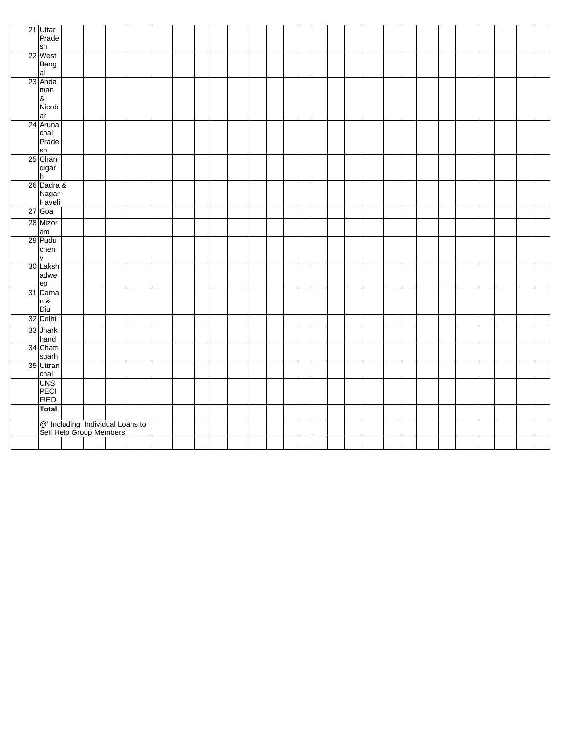| 21 Uttar                                                    |  |  |  |  |  |  |  |  |  |  |  |  |  |
|-------------------------------------------------------------|--|--|--|--|--|--|--|--|--|--|--|--|--|
| Prade<br>sh                                                 |  |  |  |  |  |  |  |  |  |  |  |  |  |
| 22 West                                                     |  |  |  |  |  |  |  |  |  |  |  |  |  |
| Beng                                                        |  |  |  |  |  |  |  |  |  |  |  |  |  |
| al                                                          |  |  |  |  |  |  |  |  |  |  |  |  |  |
| 23 Anda                                                     |  |  |  |  |  |  |  |  |  |  |  |  |  |
| man                                                         |  |  |  |  |  |  |  |  |  |  |  |  |  |
| $\pmb{8}$                                                   |  |  |  |  |  |  |  |  |  |  |  |  |  |
| Nicob                                                       |  |  |  |  |  |  |  |  |  |  |  |  |  |
| ar                                                          |  |  |  |  |  |  |  |  |  |  |  |  |  |
| 24 Aruna<br>chal                                            |  |  |  |  |  |  |  |  |  |  |  |  |  |
| Prade                                                       |  |  |  |  |  |  |  |  |  |  |  |  |  |
| sh                                                          |  |  |  |  |  |  |  |  |  |  |  |  |  |
| 25 Chan                                                     |  |  |  |  |  |  |  |  |  |  |  |  |  |
| digar                                                       |  |  |  |  |  |  |  |  |  |  |  |  |  |
| h                                                           |  |  |  |  |  |  |  |  |  |  |  |  |  |
| 26 Dadra &                                                  |  |  |  |  |  |  |  |  |  |  |  |  |  |
| Nagar                                                       |  |  |  |  |  |  |  |  |  |  |  |  |  |
| Haveli<br>27 Goa                                            |  |  |  |  |  |  |  |  |  |  |  |  |  |
|                                                             |  |  |  |  |  |  |  |  |  |  |  |  |  |
| 28 Mizor<br>am                                              |  |  |  |  |  |  |  |  |  |  |  |  |  |
| 29 Pudu                                                     |  |  |  |  |  |  |  |  |  |  |  |  |  |
| cherr                                                       |  |  |  |  |  |  |  |  |  |  |  |  |  |
| v                                                           |  |  |  |  |  |  |  |  |  |  |  |  |  |
| 30 Laksh                                                    |  |  |  |  |  |  |  |  |  |  |  |  |  |
| adwe                                                        |  |  |  |  |  |  |  |  |  |  |  |  |  |
| ep                                                          |  |  |  |  |  |  |  |  |  |  |  |  |  |
| 31 Dama                                                     |  |  |  |  |  |  |  |  |  |  |  |  |  |
| n &<br>Diu                                                  |  |  |  |  |  |  |  |  |  |  |  |  |  |
| 32 Delhi                                                    |  |  |  |  |  |  |  |  |  |  |  |  |  |
| 33 Jhark                                                    |  |  |  |  |  |  |  |  |  |  |  |  |  |
| hand                                                        |  |  |  |  |  |  |  |  |  |  |  |  |  |
| 34 Chatti                                                   |  |  |  |  |  |  |  |  |  |  |  |  |  |
| sgarh<br>35 Uttran                                          |  |  |  |  |  |  |  |  |  |  |  |  |  |
| chal                                                        |  |  |  |  |  |  |  |  |  |  |  |  |  |
| <b>UNS</b>                                                  |  |  |  |  |  |  |  |  |  |  |  |  |  |
| PECI                                                        |  |  |  |  |  |  |  |  |  |  |  |  |  |
| <b>FIED</b>                                                 |  |  |  |  |  |  |  |  |  |  |  |  |  |
| Total                                                       |  |  |  |  |  |  |  |  |  |  |  |  |  |
| @' Including Individual Loans to<br>Self Help Group Members |  |  |  |  |  |  |  |  |  |  |  |  |  |
|                                                             |  |  |  |  |  |  |  |  |  |  |  |  |  |
|                                                             |  |  |  |  |  |  |  |  |  |  |  |  |  |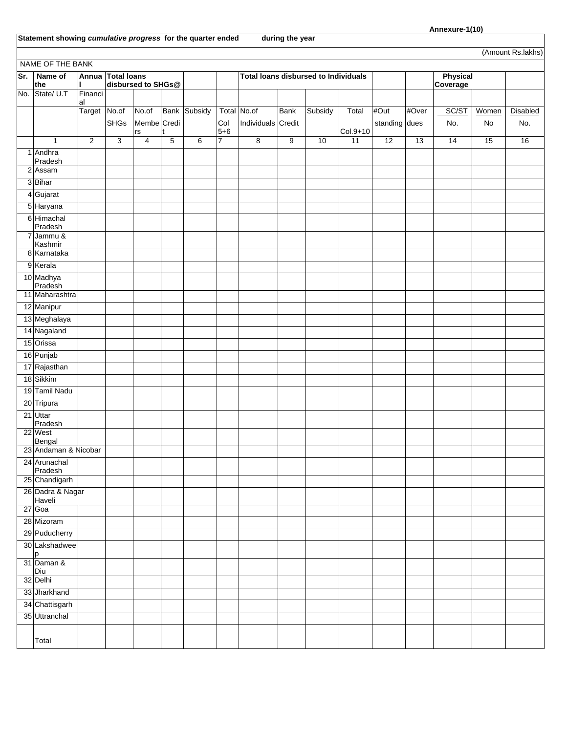**Statement showing** *cumulative progress* **for the quarter ended during the year** 

| (Amount Rs.lakhs) |                                |                     |                   |                    |                |                     |                           |                                             |                |         |                             |               |       |                             |       |          |
|-------------------|--------------------------------|---------------------|-------------------|--------------------|----------------|---------------------|---------------------------|---------------------------------------------|----------------|---------|-----------------------------|---------------|-------|-----------------------------|-------|----------|
| NAME OF THE BANK  |                                |                     |                   |                    |                |                     |                           |                                             |                |         |                             |               |       |                             |       |          |
| Sr.               | Name of<br>the                 |                     | Annua Total Ioans | disbursed to SHGs@ |                |                     |                           | <b>Total loans disbursed to Individuals</b> |                |         |                             |               |       | <b>Physical</b><br>Coverage |       |          |
| No.               | State/ U.T                     | Financi             |                   |                    |                |                     |                           |                                             |                |         |                             |               |       |                             |       |          |
|                   |                                | lal<br>Target No.of |                   | No.of              |                | <b>Bank Subsidy</b> |                           | Total No.of                                 | <b>Bank</b>    | Subsidy | Total                       | #Out          | #Over | SC/ST                       | Women | Disabled |
|                   |                                |                     | <b>SHGs</b>       | Membe Credi        |                |                     | Col                       | Individuals Credit                          |                |         |                             | standing dues |       | No.                         | No    | No.      |
|                   | $\mathbf{1}$                   | $\overline{2}$      | $\overline{3}$    | rs<br>4            | $\overline{5}$ | 6                   | $5 + 6$<br>$\overline{7}$ | $\overline{8}$                              | $\overline{9}$ | 10      | Col.9+10<br>$\overline{11}$ | 12            | 13    | 14                          | 15    | 16       |
|                   | 1 Andhra                       |                     |                   |                    |                |                     |                           |                                             |                |         |                             |               |       |                             |       |          |
| 2                 | Pradesh<br>Assam               |                     |                   |                    |                |                     |                           |                                             |                |         |                             |               |       |                             |       |          |
|                   | 3Bihar                         |                     |                   |                    |                |                     |                           |                                             |                |         |                             |               |       |                             |       |          |
|                   | 4 Gujarat                      |                     |                   |                    |                |                     |                           |                                             |                |         |                             |               |       |                             |       |          |
|                   | 5 Haryana                      |                     |                   |                    |                |                     |                           |                                             |                |         |                             |               |       |                             |       |          |
|                   | 6 Himachal                     |                     |                   |                    |                |                     |                           |                                             |                |         |                             |               |       |                             |       |          |
|                   | Pradesh                        |                     |                   |                    |                |                     |                           |                                             |                |         |                             |               |       |                             |       |          |
|                   | 7 Jammu &<br>Kashmir           |                     |                   |                    |                |                     |                           |                                             |                |         |                             |               |       |                             |       |          |
|                   | 8 Karnataka                    |                     |                   |                    |                |                     |                           |                                             |                |         |                             |               |       |                             |       |          |
|                   | 9 Kerala                       |                     |                   |                    |                |                     |                           |                                             |                |         |                             |               |       |                             |       |          |
|                   | 10 Madhya<br>Pradesh           |                     |                   |                    |                |                     |                           |                                             |                |         |                             |               |       |                             |       |          |
|                   | 11 Maharashtra                 |                     |                   |                    |                |                     |                           |                                             |                |         |                             |               |       |                             |       |          |
|                   | 12 Manipur                     |                     |                   |                    |                |                     |                           |                                             |                |         |                             |               |       |                             |       |          |
|                   | 13 Meghalaya                   |                     |                   |                    |                |                     |                           |                                             |                |         |                             |               |       |                             |       |          |
|                   | 14 Nagaland                    |                     |                   |                    |                |                     |                           |                                             |                |         |                             |               |       |                             |       |          |
|                   | 15 Orissa                      |                     |                   |                    |                |                     |                           |                                             |                |         |                             |               |       |                             |       |          |
|                   | 16 Punjab                      |                     |                   |                    |                |                     |                           |                                             |                |         |                             |               |       |                             |       |          |
|                   | 17 Rajasthan                   |                     |                   |                    |                |                     |                           |                                             |                |         |                             |               |       |                             |       |          |
|                   | 18 Sikkim                      |                     |                   |                    |                |                     |                           |                                             |                |         |                             |               |       |                             |       |          |
|                   | 19 Tamil Nadu                  |                     |                   |                    |                |                     |                           |                                             |                |         |                             |               |       |                             |       |          |
|                   | 20 Tripura                     |                     |                   |                    |                |                     |                           |                                             |                |         |                             |               |       |                             |       |          |
|                   | 21 Uttar                       |                     |                   |                    |                |                     |                           |                                             |                |         |                             |               |       |                             |       |          |
|                   | Pradesh<br>22 West             |                     |                   |                    |                |                     |                           |                                             |                |         |                             |               |       |                             |       |          |
|                   | Bengal<br>23 Andaman & Nicobar |                     |                   |                    |                |                     |                           |                                             |                |         |                             |               |       |                             |       |          |
|                   | 24 Arunachal                   |                     |                   |                    |                |                     |                           |                                             |                |         |                             |               |       |                             |       |          |
|                   | Pradesh                        |                     |                   |                    |                |                     |                           |                                             |                |         |                             |               |       |                             |       |          |
|                   | 25 Chandigarh                  |                     |                   |                    |                |                     |                           |                                             |                |         |                             |               |       |                             |       |          |
|                   | 26 Dadra & Nagar<br>Haveli     |                     |                   |                    |                |                     |                           |                                             |                |         |                             |               |       |                             |       |          |
|                   | 27 Goa                         |                     |                   |                    |                |                     |                           |                                             |                |         |                             |               |       |                             |       |          |
|                   | 28 Mizoram                     |                     |                   |                    |                |                     |                           |                                             |                |         |                             |               |       |                             |       |          |
|                   | 29 Puducherry                  |                     |                   |                    |                |                     |                           |                                             |                |         |                             |               |       |                             |       |          |
|                   | 30 Lakshadwee<br>p             |                     |                   |                    |                |                     |                           |                                             |                |         |                             |               |       |                             |       |          |
|                   | 31 Daman &<br>Diu              |                     |                   |                    |                |                     |                           |                                             |                |         |                             |               |       |                             |       |          |
|                   | 32 Delhi                       |                     |                   |                    |                |                     |                           |                                             |                |         |                             |               |       |                             |       |          |
|                   | 33 Jharkhand                   |                     |                   |                    |                |                     |                           |                                             |                |         |                             |               |       |                             |       |          |
|                   | 34 Chattisgarh                 |                     |                   |                    |                |                     |                           |                                             |                |         |                             |               |       |                             |       |          |
|                   | 35 Uttranchal                  |                     |                   |                    |                |                     |                           |                                             |                |         |                             |               |       |                             |       |          |
|                   |                                |                     |                   |                    |                |                     |                           |                                             |                |         |                             |               |       |                             |       |          |
|                   | Total                          |                     |                   |                    |                |                     |                           |                                             |                |         |                             |               |       |                             |       |          |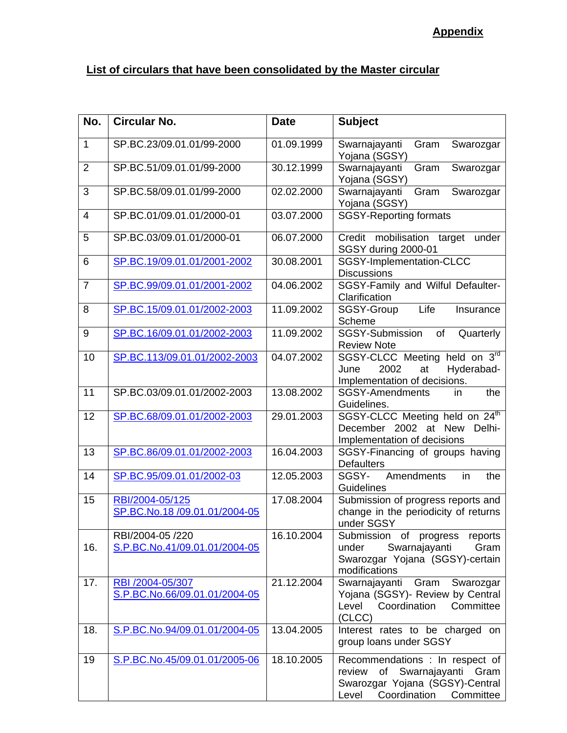# **Appendix**

#### **List of circulars that have been consolidated by the Master circular**

| No.            | <b>Circular No.</b>                               | <b>Date</b> | <b>Subject</b>                                                                                                                              |
|----------------|---------------------------------------------------|-------------|---------------------------------------------------------------------------------------------------------------------------------------------|
| $\mathbf{1}$   | SP.BC.23/09.01.01/99-2000                         | 01.09.1999  | Swarnajayanti<br>Gram<br>Swarozgar<br>Yojana (SGSY)                                                                                         |
| 2              | SP.BC.51/09.01.01/99-2000                         | 30.12.1999  | Gram<br>Swarnajayanti<br>Swarozgar<br>Yojana (SGSY)                                                                                         |
| 3              | SP.BC.58/09.01.01/99-2000                         | 02.02.2000  | Gram<br>Swarozgar<br>Swarnajayanti<br>Yojana (SGSY)                                                                                         |
| $\overline{4}$ | SP.BC.01/09.01.01/2000-01                         | 03.07.2000  | <b>SGSY-Reporting formats</b>                                                                                                               |
| 5              | SP.BC.03/09.01.01/2000-01                         | 06.07.2000  | Credit mobilisation target<br>under<br>SGSY during 2000-01                                                                                  |
| 6              | SP.BC.19/09.01.01/2001-2002                       | 30.08.2001  | SGSY-Implementation-CLCC<br><b>Discussions</b>                                                                                              |
| $\overline{7}$ | SP.BC.99/09.01.01/2001-2002                       | 04.06.2002  | SGSY-Family and Wilful Defaulter-<br>Clarification                                                                                          |
| 8              | SP.BC.15/09.01.01/2002-2003                       | 11.09.2002  | Life<br>Insurance<br>SGSY-Group<br>Scheme                                                                                                   |
| 9              | SP.BC.16/09.01.01/2002-2003                       | 11.09.2002  | SGSY-Submission<br>of<br>Quarterly<br><b>Review Note</b>                                                                                    |
| 10             | SP.BC.113/09.01.01/2002-2003                      | 04.07.2002  | SGSY-CLCC Meeting held on 3rd<br>2002<br>Hyderabad-<br>June<br>at<br>Implementation of decisions.                                           |
| 11             | SP.BC.03/09.01.01/2002-2003                       | 13.08.2002  | <b>SGSY-Amendments</b><br>the<br>in<br>Guidelines.                                                                                          |
| 12             | SP.BC.68/09.01.01/2002-2003                       | 29.01.2003  | SGSY-CLCC Meeting held on 24 <sup>th</sup><br>December 2002 at New<br>Delhi-<br>Implementation of decisions                                 |
| 13             | SP.BC.86/09.01.01/2002-2003                       | 16.04.2003  | SGSY-Financing of groups having<br><b>Defaulters</b>                                                                                        |
| 14             | SP.BC.95/09.01.01/2002-03                         | 12.05.2003  | Amendments<br>SGSY-<br>in<br>the<br>Guidelines                                                                                              |
| 15             | RBI/2004-05/125<br>SP.BC.No.18 /09.01.01/2004-05  | 17.08.2004  | Submission of progress reports and<br>change in the periodicity of returns<br>under SGSY                                                    |
| 16.            | RBI/2004-05 /220<br>S.P.BC.No.41/09.01.01/2004-05 | 16.10.2004  | Submission of progress<br>reports<br>Swarnajayanti<br>Gram<br>under<br>Swarozgar Yojana (SGSY)-certain<br>modifications                     |
| 17.            | RBI /2004-05/307<br>S.P.BC.No.66/09.01.01/2004-05 | 21.12.2004  | Swarnajayanti<br>Gram Swarozgar<br>Yojana (SGSY)- Review by Central<br>Coordination<br>Committee<br>Level<br>(CLCC)                         |
| 18.            | S.P.BC.No.94/09.01.01/2004-05                     | 13.04.2005  | Interest rates to be charged on<br>group loans under SGSY                                                                                   |
| 19             | S.P.BC.No.45/09.01.01/2005-06                     | 18.10.2005  | Recommendations : In respect of<br>of Swarnajayanti Gram<br>review<br>Swarozgar Yojana (SGSY)-Central<br>Coordination<br>Committee<br>Level |